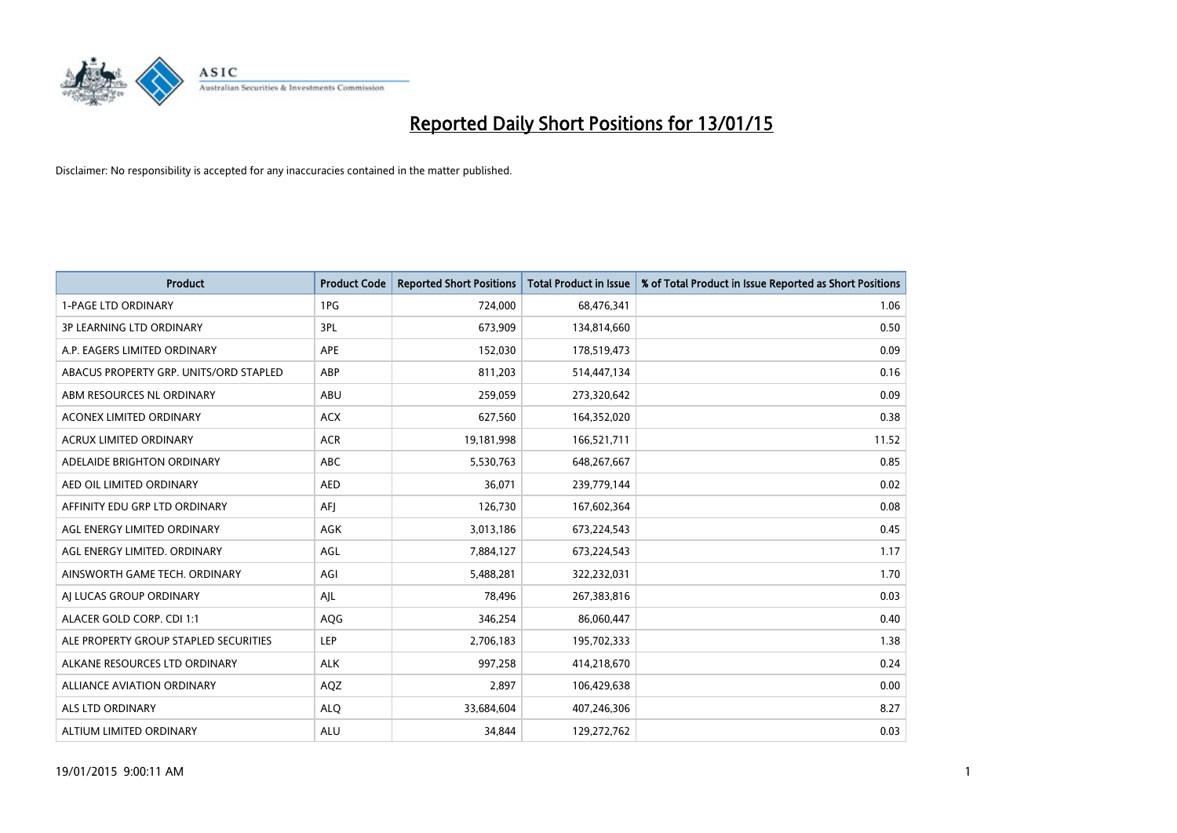

| <b>Product</b>                         | <b>Product Code</b> | <b>Reported Short Positions</b> | <b>Total Product in Issue</b> | % of Total Product in Issue Reported as Short Positions |
|----------------------------------------|---------------------|---------------------------------|-------------------------------|---------------------------------------------------------|
| <b>1-PAGE LTD ORDINARY</b>             | 1PG                 | 724,000                         | 68,476,341                    | 1.06                                                    |
| 3P LEARNING LTD ORDINARY               | 3PL                 | 673,909                         | 134,814,660                   | 0.50                                                    |
| A.P. EAGERS LIMITED ORDINARY           | <b>APE</b>          | 152,030                         | 178,519,473                   | 0.09                                                    |
| ABACUS PROPERTY GRP. UNITS/ORD STAPLED | ABP                 | 811,203                         | 514,447,134                   | 0.16                                                    |
| ABM RESOURCES NL ORDINARY              | ABU                 | 259,059                         | 273,320,642                   | 0.09                                                    |
| <b>ACONEX LIMITED ORDINARY</b>         | <b>ACX</b>          | 627,560                         | 164,352,020                   | 0.38                                                    |
| <b>ACRUX LIMITED ORDINARY</b>          | <b>ACR</b>          | 19,181,998                      | 166,521,711                   | 11.52                                                   |
| ADELAIDE BRIGHTON ORDINARY             | ABC                 | 5,530,763                       | 648,267,667                   | 0.85                                                    |
| AED OIL LIMITED ORDINARY               | <b>AED</b>          | 36,071                          | 239,779,144                   | 0.02                                                    |
| AFFINITY EDU GRP LTD ORDINARY          | AFI                 | 126,730                         | 167,602,364                   | 0.08                                                    |
| AGL ENERGY LIMITED ORDINARY            | AGK                 | 3,013,186                       | 673,224,543                   | 0.45                                                    |
| AGL ENERGY LIMITED. ORDINARY           | AGL                 | 7,884,127                       | 673,224,543                   | 1.17                                                    |
| AINSWORTH GAME TECH. ORDINARY          | AGI                 | 5,488,281                       | 322,232,031                   | 1.70                                                    |
| AI LUCAS GROUP ORDINARY                | AJL                 | 78,496                          | 267,383,816                   | 0.03                                                    |
| ALACER GOLD CORP. CDI 1:1              | AQG                 | 346,254                         | 86,060,447                    | 0.40                                                    |
| ALE PROPERTY GROUP STAPLED SECURITIES  | LEP                 | 2,706,183                       | 195,702,333                   | 1.38                                                    |
| ALKANE RESOURCES LTD ORDINARY          | <b>ALK</b>          | 997,258                         | 414,218,670                   | 0.24                                                    |
| ALLIANCE AVIATION ORDINARY             | AQZ                 | 2,897                           | 106,429,638                   | 0.00                                                    |
| ALS LTD ORDINARY                       | <b>ALO</b>          | 33,684,604                      | 407,246,306                   | 8.27                                                    |
| ALTIUM LIMITED ORDINARY                | <b>ALU</b>          | 34,844                          | 129,272,762                   | 0.03                                                    |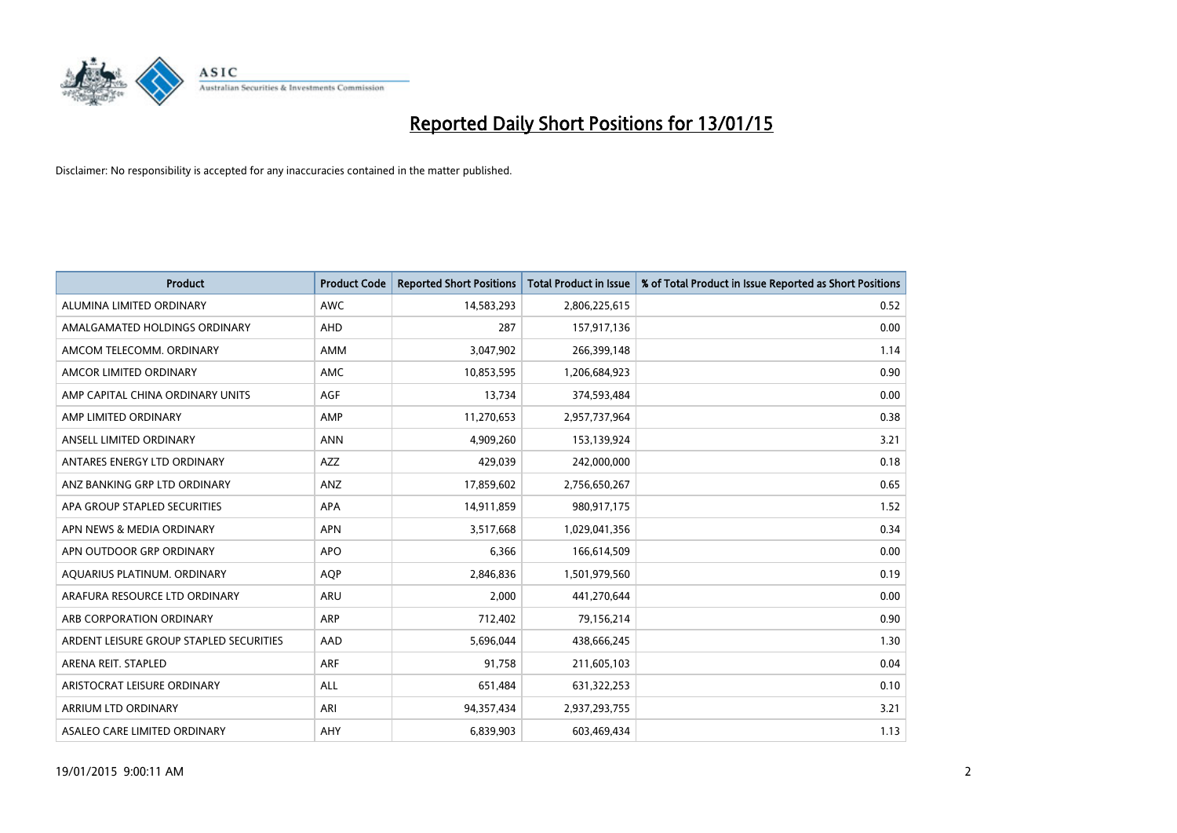

| <b>Product</b>                          | <b>Product Code</b> | <b>Reported Short Positions</b> | <b>Total Product in Issue</b> | % of Total Product in Issue Reported as Short Positions |
|-----------------------------------------|---------------------|---------------------------------|-------------------------------|---------------------------------------------------------|
| ALUMINA LIMITED ORDINARY                | <b>AWC</b>          | 14,583,293                      | 2,806,225,615                 | 0.52                                                    |
| AMALGAMATED HOLDINGS ORDINARY           | <b>AHD</b>          | 287                             | 157,917,136                   | 0.00                                                    |
| AMCOM TELECOMM. ORDINARY                | AMM                 | 3,047,902                       | 266,399,148                   | 1.14                                                    |
| AMCOR LIMITED ORDINARY                  | <b>AMC</b>          | 10,853,595                      | 1,206,684,923                 | 0.90                                                    |
| AMP CAPITAL CHINA ORDINARY UNITS        | AGF                 | 13,734                          | 374,593,484                   | 0.00                                                    |
| AMP LIMITED ORDINARY                    | AMP                 | 11,270,653                      | 2,957,737,964                 | 0.38                                                    |
| ANSELL LIMITED ORDINARY                 | <b>ANN</b>          | 4,909,260                       | 153,139,924                   | 3.21                                                    |
| ANTARES ENERGY LTD ORDINARY             | AZZ                 | 429,039                         | 242,000,000                   | 0.18                                                    |
| ANZ BANKING GRP LTD ORDINARY            | ANZ                 | 17,859,602                      | 2,756,650,267                 | 0.65                                                    |
| APA GROUP STAPLED SECURITIES            | <b>APA</b>          | 14,911,859                      | 980,917,175                   | 1.52                                                    |
| APN NEWS & MEDIA ORDINARY               | <b>APN</b>          | 3,517,668                       | 1,029,041,356                 | 0.34                                                    |
| APN OUTDOOR GRP ORDINARY                | <b>APO</b>          | 6,366                           | 166,614,509                   | 0.00                                                    |
| AQUARIUS PLATINUM. ORDINARY             | <b>AOP</b>          | 2,846,836                       | 1,501,979,560                 | 0.19                                                    |
| ARAFURA RESOURCE LTD ORDINARY           | <b>ARU</b>          | 2,000                           | 441,270,644                   | 0.00                                                    |
| ARB CORPORATION ORDINARY                | <b>ARP</b>          | 712,402                         | 79,156,214                    | 0.90                                                    |
| ARDENT LEISURE GROUP STAPLED SECURITIES | AAD                 | 5,696,044                       | 438,666,245                   | 1.30                                                    |
| ARENA REIT. STAPLED                     | <b>ARF</b>          | 91,758                          | 211,605,103                   | 0.04                                                    |
| ARISTOCRAT LEISURE ORDINARY             | ALL                 | 651,484                         | 631,322,253                   | 0.10                                                    |
| ARRIUM LTD ORDINARY                     | ARI                 | 94,357,434                      | 2,937,293,755                 | 3.21                                                    |
| ASALEO CARE LIMITED ORDINARY            | AHY                 | 6,839,903                       | 603,469,434                   | 1.13                                                    |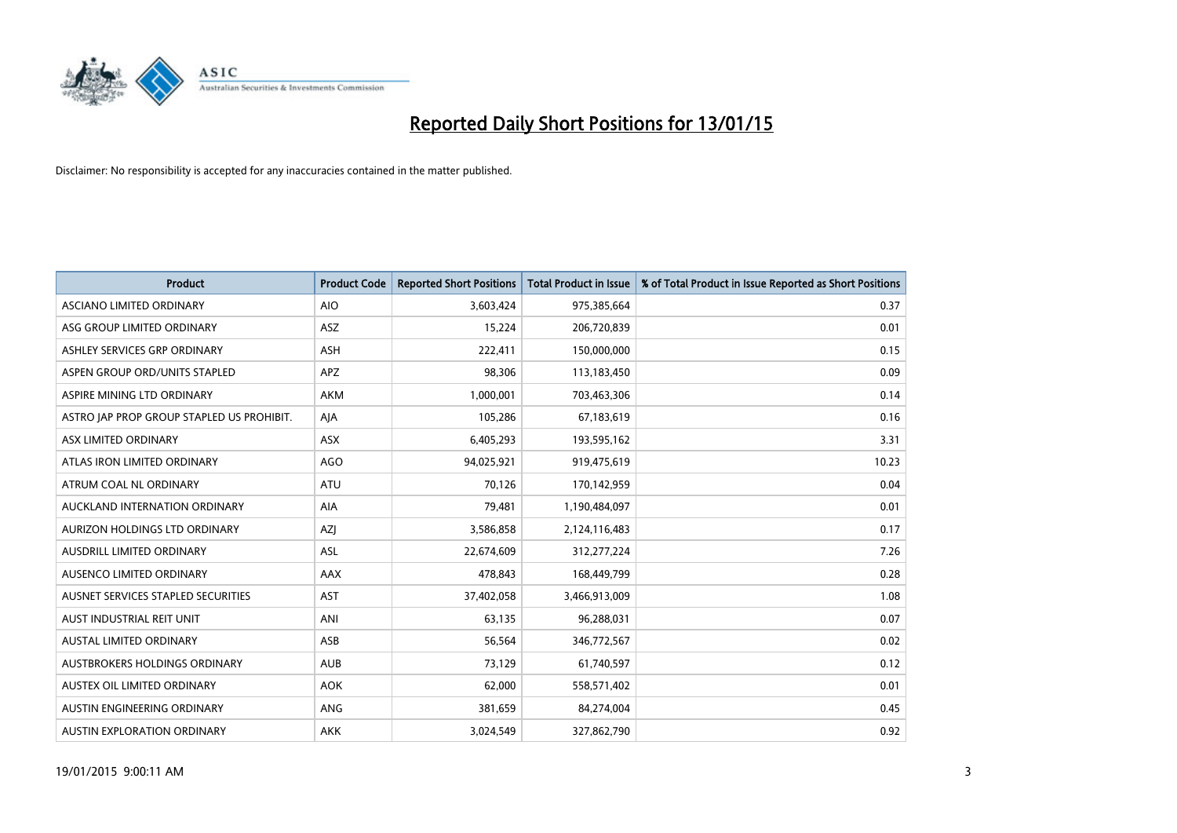

| <b>Product</b>                            | <b>Product Code</b> | <b>Reported Short Positions</b> | <b>Total Product in Issue</b> | % of Total Product in Issue Reported as Short Positions |
|-------------------------------------------|---------------------|---------------------------------|-------------------------------|---------------------------------------------------------|
| ASCIANO LIMITED ORDINARY                  | <b>AIO</b>          | 3,603,424                       | 975,385,664                   | 0.37                                                    |
| ASG GROUP LIMITED ORDINARY                | ASZ                 | 15,224                          | 206,720,839                   | 0.01                                                    |
| ASHLEY SERVICES GRP ORDINARY              | <b>ASH</b>          | 222,411                         | 150,000,000                   | 0.15                                                    |
| ASPEN GROUP ORD/UNITS STAPLED             | APZ                 | 98,306                          | 113,183,450                   | 0.09                                                    |
| ASPIRE MINING LTD ORDINARY                | <b>AKM</b>          | 1,000,001                       | 703,463,306                   | 0.14                                                    |
| ASTRO JAP PROP GROUP STAPLED US PROHIBIT. | AJA                 | 105,286                         | 67,183,619                    | 0.16                                                    |
| ASX LIMITED ORDINARY                      | ASX                 | 6,405,293                       | 193,595,162                   | 3.31                                                    |
| ATLAS IRON LIMITED ORDINARY               | <b>AGO</b>          | 94,025,921                      | 919,475,619                   | 10.23                                                   |
| ATRUM COAL NL ORDINARY                    | <b>ATU</b>          | 70.126                          | 170,142,959                   | 0.04                                                    |
| AUCKLAND INTERNATION ORDINARY             | <b>AIA</b>          | 79,481                          | 1,190,484,097                 | 0.01                                                    |
| AURIZON HOLDINGS LTD ORDINARY             | AZJ                 | 3,586,858                       | 2,124,116,483                 | 0.17                                                    |
| AUSDRILL LIMITED ORDINARY                 | ASL                 | 22,674,609                      | 312,277,224                   | 7.26                                                    |
| AUSENCO LIMITED ORDINARY                  | AAX                 | 478,843                         | 168,449,799                   | 0.28                                                    |
| AUSNET SERVICES STAPLED SECURITIES        | AST                 | 37,402,058                      | 3,466,913,009                 | 1.08                                                    |
| AUST INDUSTRIAL REIT UNIT                 | ANI                 | 63,135                          | 96,288,031                    | 0.07                                                    |
| AUSTAL LIMITED ORDINARY                   | ASB                 | 56,564                          | 346,772,567                   | 0.02                                                    |
| AUSTBROKERS HOLDINGS ORDINARY             | <b>AUB</b>          | 73,129                          | 61,740,597                    | 0.12                                                    |
| AUSTEX OIL LIMITED ORDINARY               | <b>AOK</b>          | 62,000                          | 558,571,402                   | 0.01                                                    |
| AUSTIN ENGINEERING ORDINARY               | ANG                 | 381,659                         | 84,274,004                    | 0.45                                                    |
| AUSTIN EXPLORATION ORDINARY               | <b>AKK</b>          | 3,024,549                       | 327,862,790                   | 0.92                                                    |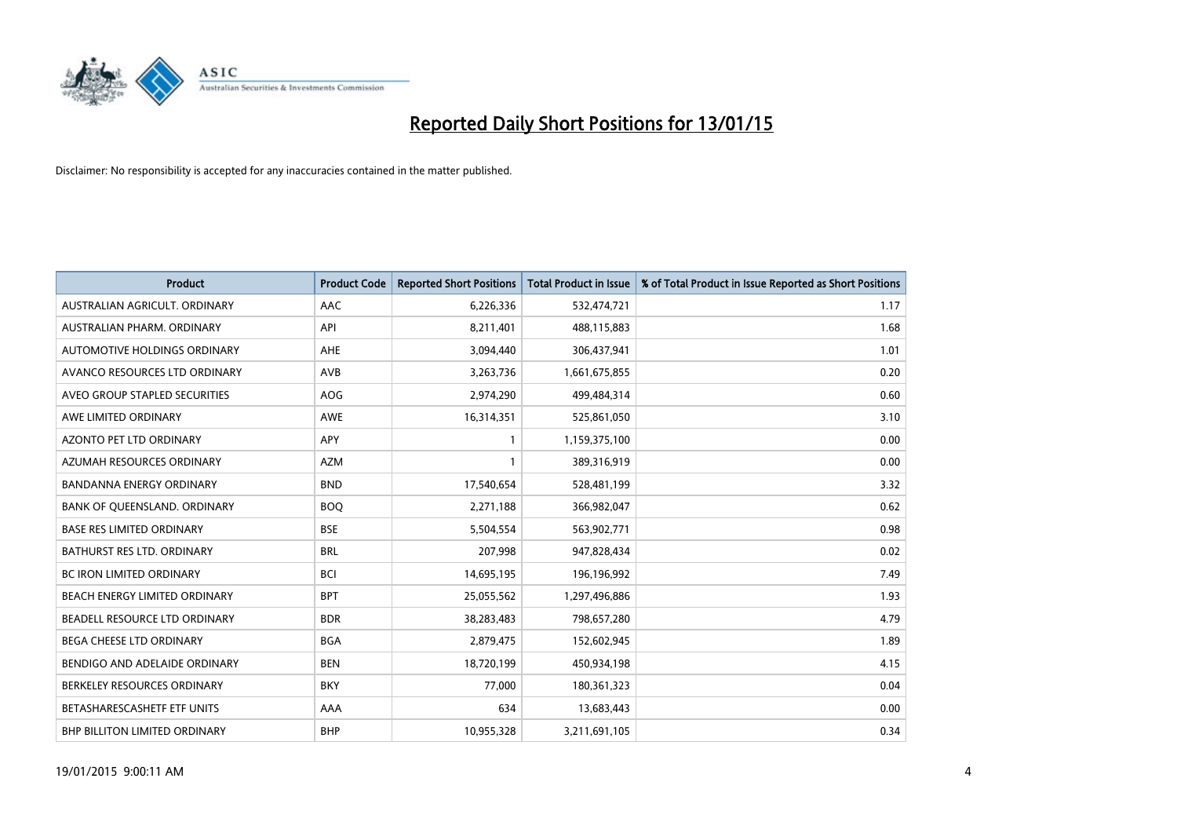

| <b>Product</b>                    | <b>Product Code</b> | <b>Reported Short Positions</b> | <b>Total Product in Issue</b> | % of Total Product in Issue Reported as Short Positions |
|-----------------------------------|---------------------|---------------------------------|-------------------------------|---------------------------------------------------------|
| AUSTRALIAN AGRICULT, ORDINARY     | AAC                 | 6,226,336                       | 532,474,721                   | 1.17                                                    |
| AUSTRALIAN PHARM. ORDINARY        | API                 | 8,211,401                       | 488,115,883                   | 1.68                                                    |
| AUTOMOTIVE HOLDINGS ORDINARY      | AHE                 | 3,094,440                       | 306,437,941                   | 1.01                                                    |
| AVANCO RESOURCES LTD ORDINARY     | AVB                 | 3,263,736                       | 1,661,675,855                 | 0.20                                                    |
| AVEO GROUP STAPLED SECURITIES     | AOG                 | 2,974,290                       | 499,484,314                   | 0.60                                                    |
| AWE LIMITED ORDINARY              | <b>AWE</b>          | 16,314,351                      | 525,861,050                   | 3.10                                                    |
| AZONTO PET LTD ORDINARY           | <b>APY</b>          | $\mathbf{1}$                    | 1,159,375,100                 | 0.00                                                    |
| AZUMAH RESOURCES ORDINARY         | <b>AZM</b>          | $\mathbf{1}$                    | 389,316,919                   | 0.00                                                    |
| <b>BANDANNA ENERGY ORDINARY</b>   | <b>BND</b>          | 17,540,654                      | 528,481,199                   | 3.32                                                    |
| BANK OF QUEENSLAND. ORDINARY      | <b>BOQ</b>          | 2,271,188                       | 366,982,047                   | 0.62                                                    |
| <b>BASE RES LIMITED ORDINARY</b>  | <b>BSE</b>          | 5,504,554                       | 563,902,771                   | 0.98                                                    |
| <b>BATHURST RES LTD. ORDINARY</b> | <b>BRL</b>          | 207,998                         | 947,828,434                   | 0.02                                                    |
| <b>BC IRON LIMITED ORDINARY</b>   | <b>BCI</b>          | 14,695,195                      | 196,196,992                   | 7.49                                                    |
| BEACH ENERGY LIMITED ORDINARY     | <b>BPT</b>          | 25,055,562                      | 1,297,496,886                 | 1.93                                                    |
| BEADELL RESOURCE LTD ORDINARY     | <b>BDR</b>          | 38,283,483                      | 798,657,280                   | 4.79                                                    |
| BEGA CHEESE LTD ORDINARY          | <b>BGA</b>          | 2,879,475                       | 152,602,945                   | 1.89                                                    |
| BENDIGO AND ADELAIDE ORDINARY     | <b>BEN</b>          | 18,720,199                      | 450,934,198                   | 4.15                                                    |
| BERKELEY RESOURCES ORDINARY       | <b>BKY</b>          | 77,000                          | 180,361,323                   | 0.04                                                    |
| BETASHARESCASHETF ETF UNITS       | AAA                 | 634                             | 13,683,443                    | 0.00                                                    |
| BHP BILLITON LIMITED ORDINARY     | <b>BHP</b>          | 10,955,328                      | 3,211,691,105                 | 0.34                                                    |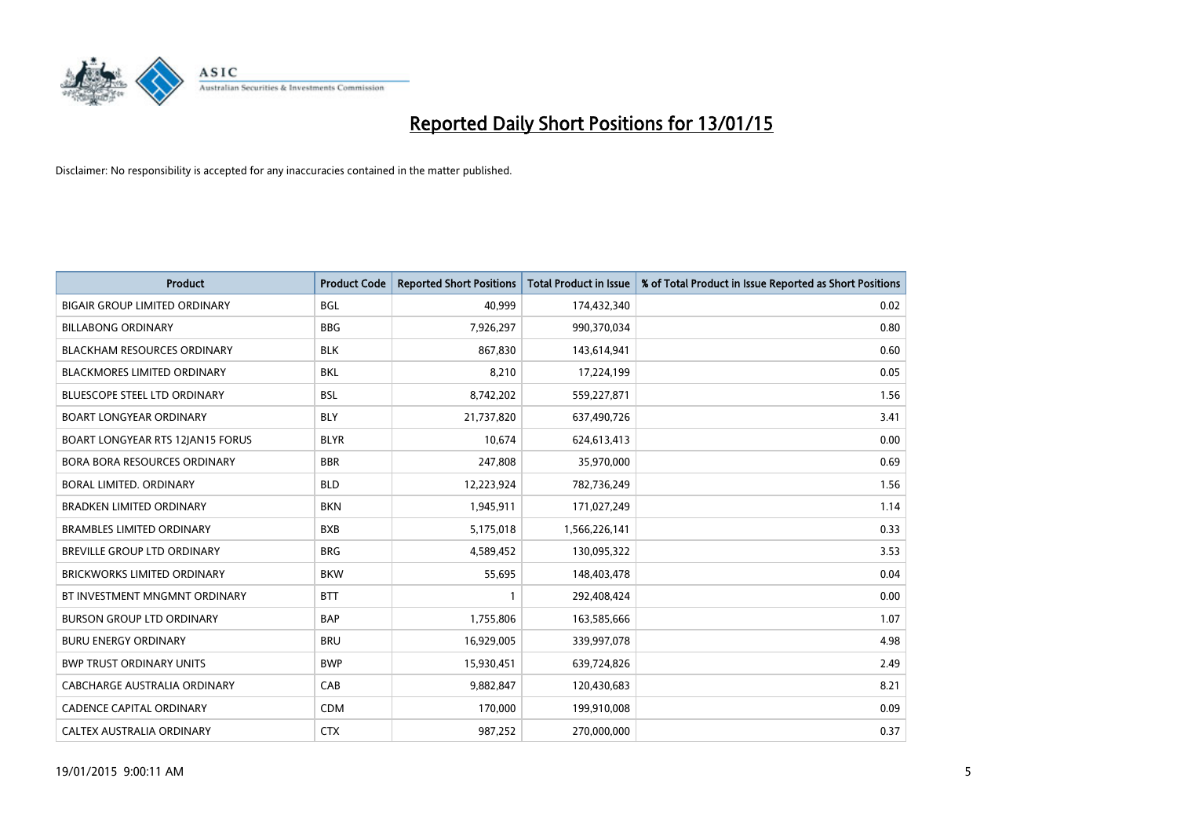

| <b>Product</b>                       | <b>Product Code</b> | <b>Reported Short Positions</b> | <b>Total Product in Issue</b> | % of Total Product in Issue Reported as Short Positions |
|--------------------------------------|---------------------|---------------------------------|-------------------------------|---------------------------------------------------------|
| <b>BIGAIR GROUP LIMITED ORDINARY</b> | <b>BGL</b>          | 40,999                          | 174,432,340                   | 0.02                                                    |
| <b>BILLABONG ORDINARY</b>            | <b>BBG</b>          | 7,926,297                       | 990,370,034                   | 0.80                                                    |
| <b>BLACKHAM RESOURCES ORDINARY</b>   | <b>BLK</b>          | 867,830                         | 143,614,941                   | 0.60                                                    |
| BLACKMORES LIMITED ORDINARY          | <b>BKL</b>          | 8,210                           | 17,224,199                    | 0.05                                                    |
| BLUESCOPE STEEL LTD ORDINARY         | <b>BSL</b>          | 8,742,202                       | 559,227,871                   | 1.56                                                    |
| <b>BOART LONGYEAR ORDINARY</b>       | <b>BLY</b>          | 21,737,820                      | 637,490,726                   | 3.41                                                    |
| BOART LONGYEAR RTS 12JAN15 FORUS     | <b>BLYR</b>         | 10,674                          | 624,613,413                   | 0.00                                                    |
| BORA BORA RESOURCES ORDINARY         | <b>BBR</b>          | 247,808                         | 35,970,000                    | 0.69                                                    |
| <b>BORAL LIMITED, ORDINARY</b>       | <b>BLD</b>          | 12,223,924                      | 782,736,249                   | 1.56                                                    |
| <b>BRADKEN LIMITED ORDINARY</b>      | <b>BKN</b>          | 1,945,911                       | 171,027,249                   | 1.14                                                    |
| <b>BRAMBLES LIMITED ORDINARY</b>     | <b>BXB</b>          | 5,175,018                       | 1,566,226,141                 | 0.33                                                    |
| BREVILLE GROUP LTD ORDINARY          | <b>BRG</b>          | 4,589,452                       | 130,095,322                   | 3.53                                                    |
| BRICKWORKS LIMITED ORDINARY          | <b>BKW</b>          | 55,695                          | 148,403,478                   | 0.04                                                    |
| BT INVESTMENT MNGMNT ORDINARY        | <b>BTT</b>          | $\mathbf{1}$                    | 292,408,424                   | 0.00                                                    |
| <b>BURSON GROUP LTD ORDINARY</b>     | <b>BAP</b>          | 1,755,806                       | 163,585,666                   | 1.07                                                    |
| <b>BURU ENERGY ORDINARY</b>          | <b>BRU</b>          | 16,929,005                      | 339,997,078                   | 4.98                                                    |
| <b>BWP TRUST ORDINARY UNITS</b>      | <b>BWP</b>          | 15,930,451                      | 639,724,826                   | 2.49                                                    |
| CABCHARGE AUSTRALIA ORDINARY         | CAB                 | 9,882,847                       | 120,430,683                   | 8.21                                                    |
| <b>CADENCE CAPITAL ORDINARY</b>      | <b>CDM</b>          | 170,000                         | 199,910,008                   | 0.09                                                    |
| CALTEX AUSTRALIA ORDINARY            | <b>CTX</b>          | 987,252                         | 270,000,000                   | 0.37                                                    |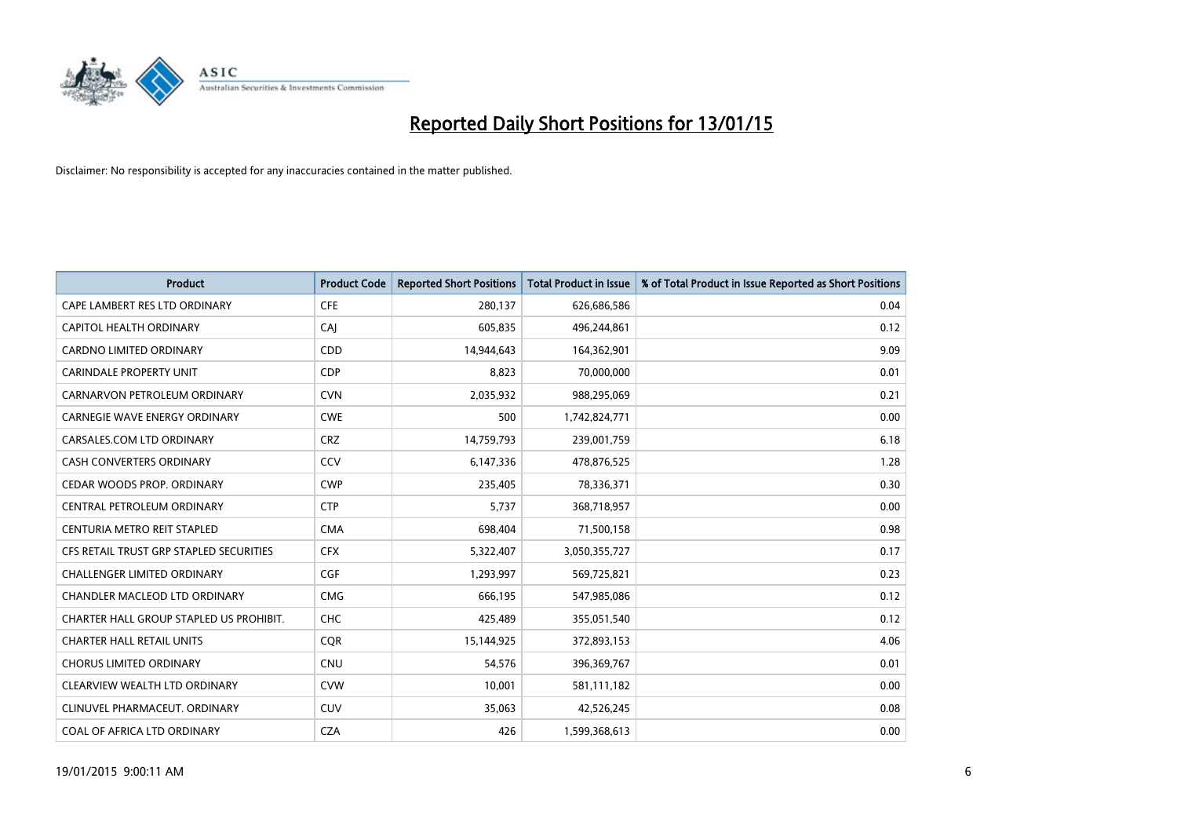

| <b>Product</b>                          | <b>Product Code</b> | <b>Reported Short Positions</b> | <b>Total Product in Issue</b> | % of Total Product in Issue Reported as Short Positions |
|-----------------------------------------|---------------------|---------------------------------|-------------------------------|---------------------------------------------------------|
| CAPE LAMBERT RES LTD ORDINARY           | <b>CFE</b>          | 280,137                         | 626,686,586                   | 0.04                                                    |
| CAPITOL HEALTH ORDINARY                 | CAI                 | 605,835                         | 496,244,861                   | 0.12                                                    |
| <b>CARDNO LIMITED ORDINARY</b>          | CDD                 | 14,944,643                      | 164,362,901                   | 9.09                                                    |
| CARINDALE PROPERTY UNIT                 | <b>CDP</b>          | 8,823                           | 70,000,000                    | 0.01                                                    |
| CARNARVON PETROLEUM ORDINARY            | <b>CVN</b>          | 2,035,932                       | 988,295,069                   | 0.21                                                    |
| <b>CARNEGIE WAVE ENERGY ORDINARY</b>    | <b>CWE</b>          | 500                             | 1,742,824,771                 | 0.00                                                    |
| CARSALES.COM LTD ORDINARY               | <b>CRZ</b>          | 14,759,793                      | 239,001,759                   | 6.18                                                    |
| CASH CONVERTERS ORDINARY                | CCV                 | 6,147,336                       | 478,876,525                   | 1.28                                                    |
| CEDAR WOODS PROP. ORDINARY              | <b>CWP</b>          | 235,405                         | 78,336,371                    | 0.30                                                    |
| CENTRAL PETROLEUM ORDINARY              | <b>CTP</b>          | 5,737                           | 368,718,957                   | 0.00                                                    |
| CENTURIA METRO REIT STAPLED             | <b>CMA</b>          | 698,404                         | 71,500,158                    | 0.98                                                    |
| CFS RETAIL TRUST GRP STAPLED SECURITIES | <b>CFX</b>          | 5,322,407                       | 3,050,355,727                 | 0.17                                                    |
| <b>CHALLENGER LIMITED ORDINARY</b>      | <b>CGF</b>          | 1,293,997                       | 569,725,821                   | 0.23                                                    |
| CHANDLER MACLEOD LTD ORDINARY           | <b>CMG</b>          | 666,195                         | 547,985,086                   | 0.12                                                    |
| CHARTER HALL GROUP STAPLED US PROHIBIT. | CHC                 | 425,489                         | 355,051,540                   | 0.12                                                    |
| <b>CHARTER HALL RETAIL UNITS</b>        | <b>COR</b>          | 15,144,925                      | 372,893,153                   | 4.06                                                    |
| <b>CHORUS LIMITED ORDINARY</b>          | <b>CNU</b>          | 54,576                          | 396,369,767                   | 0.01                                                    |
| CLEARVIEW WEALTH LTD ORDINARY           | <b>CVW</b>          | 10,001                          | 581,111,182                   | 0.00                                                    |
| CLINUVEL PHARMACEUT, ORDINARY           | <b>CUV</b>          | 35,063                          | 42,526,245                    | 0.08                                                    |
| COAL OF AFRICA LTD ORDINARY             | <b>CZA</b>          | 426                             | 1,599,368,613                 | 0.00                                                    |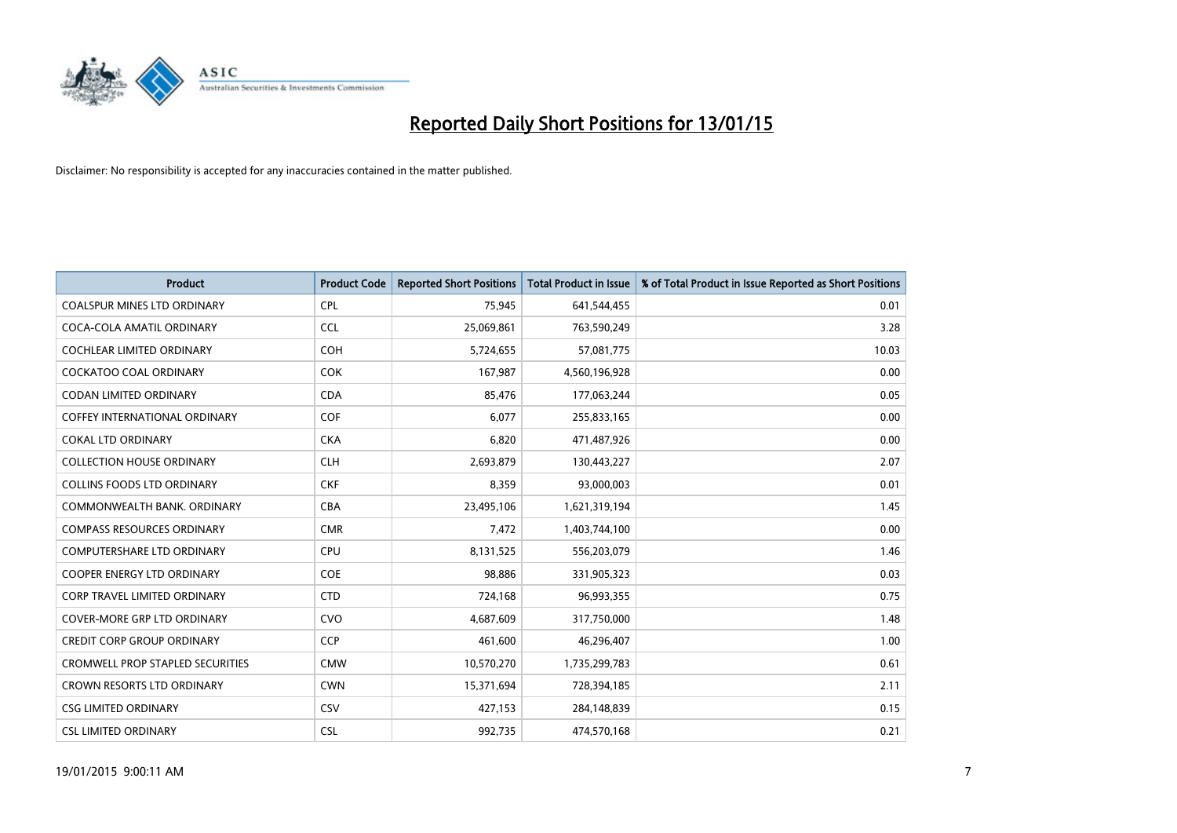

| <b>Product</b>                          | <b>Product Code</b> | <b>Reported Short Positions</b> | <b>Total Product in Issue</b> | % of Total Product in Issue Reported as Short Positions |
|-----------------------------------------|---------------------|---------------------------------|-------------------------------|---------------------------------------------------------|
| <b>COALSPUR MINES LTD ORDINARY</b>      | <b>CPL</b>          | 75,945                          | 641,544,455                   | 0.01                                                    |
| COCA-COLA AMATIL ORDINARY               | <b>CCL</b>          | 25,069,861                      | 763,590,249                   | 3.28                                                    |
| <b>COCHLEAR LIMITED ORDINARY</b>        | <b>COH</b>          | 5,724,655                       | 57,081,775                    | 10.03                                                   |
| COCKATOO COAL ORDINARY                  | <b>COK</b>          | 167,987                         | 4,560,196,928                 | 0.00                                                    |
| <b>CODAN LIMITED ORDINARY</b>           | <b>CDA</b>          | 85,476                          | 177,063,244                   | 0.05                                                    |
| <b>COFFEY INTERNATIONAL ORDINARY</b>    | COF                 | 6,077                           | 255,833,165                   | 0.00                                                    |
| <b>COKAL LTD ORDINARY</b>               | <b>CKA</b>          | 6,820                           | 471,487,926                   | 0.00                                                    |
| <b>COLLECTION HOUSE ORDINARY</b>        | <b>CLH</b>          | 2,693,879                       | 130,443,227                   | 2.07                                                    |
| <b>COLLINS FOODS LTD ORDINARY</b>       | <b>CKF</b>          | 8,359                           | 93,000,003                    | 0.01                                                    |
| COMMONWEALTH BANK, ORDINARY             | <b>CBA</b>          | 23,495,106                      | 1,621,319,194                 | 1.45                                                    |
| <b>COMPASS RESOURCES ORDINARY</b>       | <b>CMR</b>          | 7,472                           | 1,403,744,100                 | 0.00                                                    |
| <b>COMPUTERSHARE LTD ORDINARY</b>       | <b>CPU</b>          | 8,131,525                       | 556,203,079                   | 1.46                                                    |
| COOPER ENERGY LTD ORDINARY              | <b>COE</b>          | 98,886                          | 331,905,323                   | 0.03                                                    |
| <b>CORP TRAVEL LIMITED ORDINARY</b>     | <b>CTD</b>          | 724,168                         | 96,993,355                    | 0.75                                                    |
| <b>COVER-MORE GRP LTD ORDINARY</b>      | <b>CVO</b>          | 4,687,609                       | 317,750,000                   | 1.48                                                    |
| <b>CREDIT CORP GROUP ORDINARY</b>       | <b>CCP</b>          | 461,600                         | 46,296,407                    | 1.00                                                    |
| <b>CROMWELL PROP STAPLED SECURITIES</b> | <b>CMW</b>          | 10,570,270                      | 1,735,299,783                 | 0.61                                                    |
| CROWN RESORTS LTD ORDINARY              | <b>CWN</b>          | 15,371,694                      | 728,394,185                   | 2.11                                                    |
| <b>CSG LIMITED ORDINARY</b>             | CSV                 | 427,153                         | 284,148,839                   | 0.15                                                    |
| <b>CSL LIMITED ORDINARY</b>             | <b>CSL</b>          | 992,735                         | 474,570,168                   | 0.21                                                    |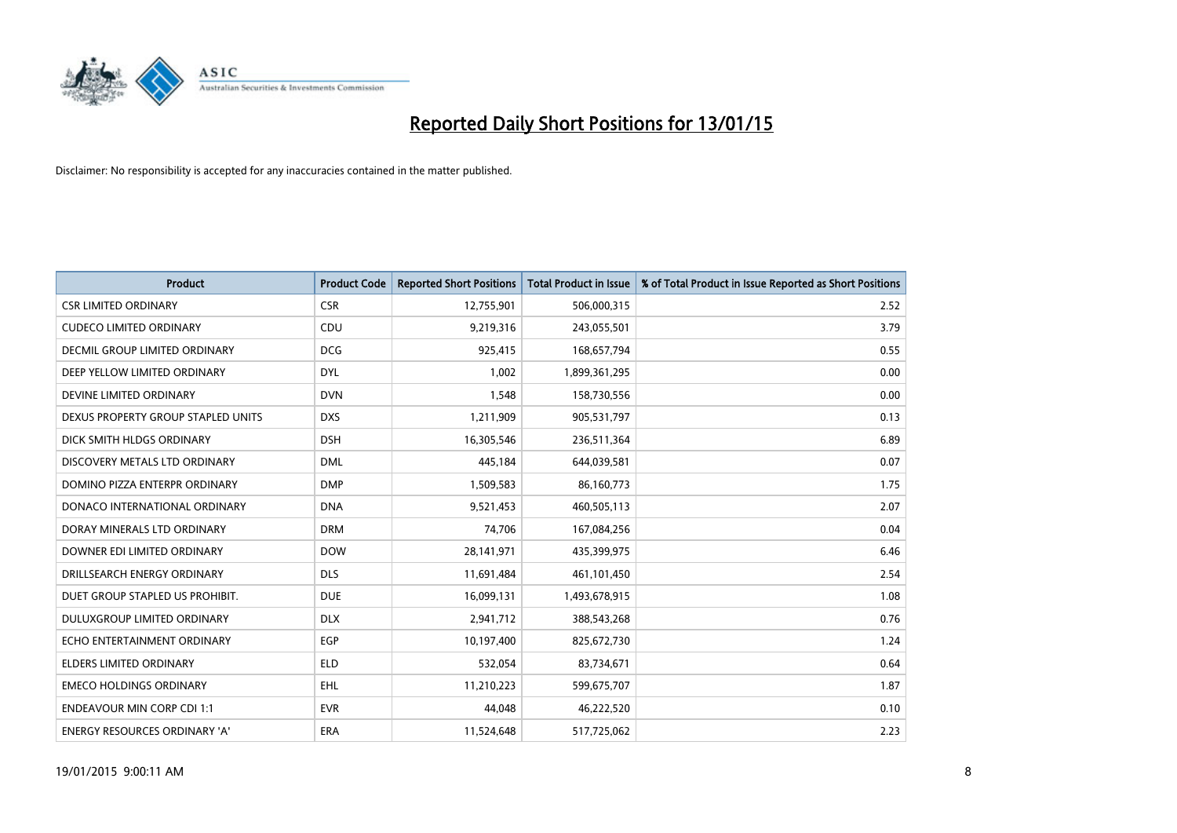

| <b>Product</b>                     | <b>Product Code</b> | <b>Reported Short Positions</b> | <b>Total Product in Issue</b> | % of Total Product in Issue Reported as Short Positions |
|------------------------------------|---------------------|---------------------------------|-------------------------------|---------------------------------------------------------|
| <b>CSR LIMITED ORDINARY</b>        | <b>CSR</b>          | 12,755,901                      | 506,000,315                   | 2.52                                                    |
| <b>CUDECO LIMITED ORDINARY</b>     | <b>CDU</b>          | 9,219,316                       | 243,055,501                   | 3.79                                                    |
| DECMIL GROUP LIMITED ORDINARY      | <b>DCG</b>          | 925,415                         | 168,657,794                   | 0.55                                                    |
| DEEP YELLOW LIMITED ORDINARY       | <b>DYL</b>          | 1,002                           | 1,899,361,295                 | 0.00                                                    |
| DEVINE LIMITED ORDINARY            | <b>DVN</b>          | 1,548                           | 158,730,556                   | 0.00                                                    |
| DEXUS PROPERTY GROUP STAPLED UNITS | <b>DXS</b>          | 1,211,909                       | 905,531,797                   | 0.13                                                    |
| DICK SMITH HLDGS ORDINARY          | <b>DSH</b>          | 16,305,546                      | 236,511,364                   | 6.89                                                    |
| DISCOVERY METALS LTD ORDINARY      | <b>DML</b>          | 445,184                         | 644,039,581                   | 0.07                                                    |
| DOMINO PIZZA ENTERPR ORDINARY      | <b>DMP</b>          | 1,509,583                       | 86,160,773                    | 1.75                                                    |
| DONACO INTERNATIONAL ORDINARY      | <b>DNA</b>          | 9,521,453                       | 460,505,113                   | 2.07                                                    |
| DORAY MINERALS LTD ORDINARY        | <b>DRM</b>          | 74,706                          | 167,084,256                   | 0.04                                                    |
| DOWNER EDI LIMITED ORDINARY        | <b>DOW</b>          | 28,141,971                      | 435,399,975                   | 6.46                                                    |
| DRILLSEARCH ENERGY ORDINARY        | <b>DLS</b>          | 11,691,484                      | 461,101,450                   | 2.54                                                    |
| DUET GROUP STAPLED US PROHIBIT.    | <b>DUE</b>          | 16,099,131                      | 1,493,678,915                 | 1.08                                                    |
| DULUXGROUP LIMITED ORDINARY        | <b>DLX</b>          | 2,941,712                       | 388,543,268                   | 0.76                                                    |
| ECHO ENTERTAINMENT ORDINARY        | EGP                 | 10,197,400                      | 825,672,730                   | 1.24                                                    |
| ELDERS LIMITED ORDINARY            | <b>ELD</b>          | 532,054                         | 83,734,671                    | 0.64                                                    |
| <b>EMECO HOLDINGS ORDINARY</b>     | <b>EHL</b>          | 11,210,223                      | 599,675,707                   | 1.87                                                    |
| <b>ENDEAVOUR MIN CORP CDI 1:1</b>  | <b>EVR</b>          | 44,048                          | 46,222,520                    | 0.10                                                    |
| ENERGY RESOURCES ORDINARY 'A'      | ERA                 | 11,524,648                      | 517,725,062                   | 2.23                                                    |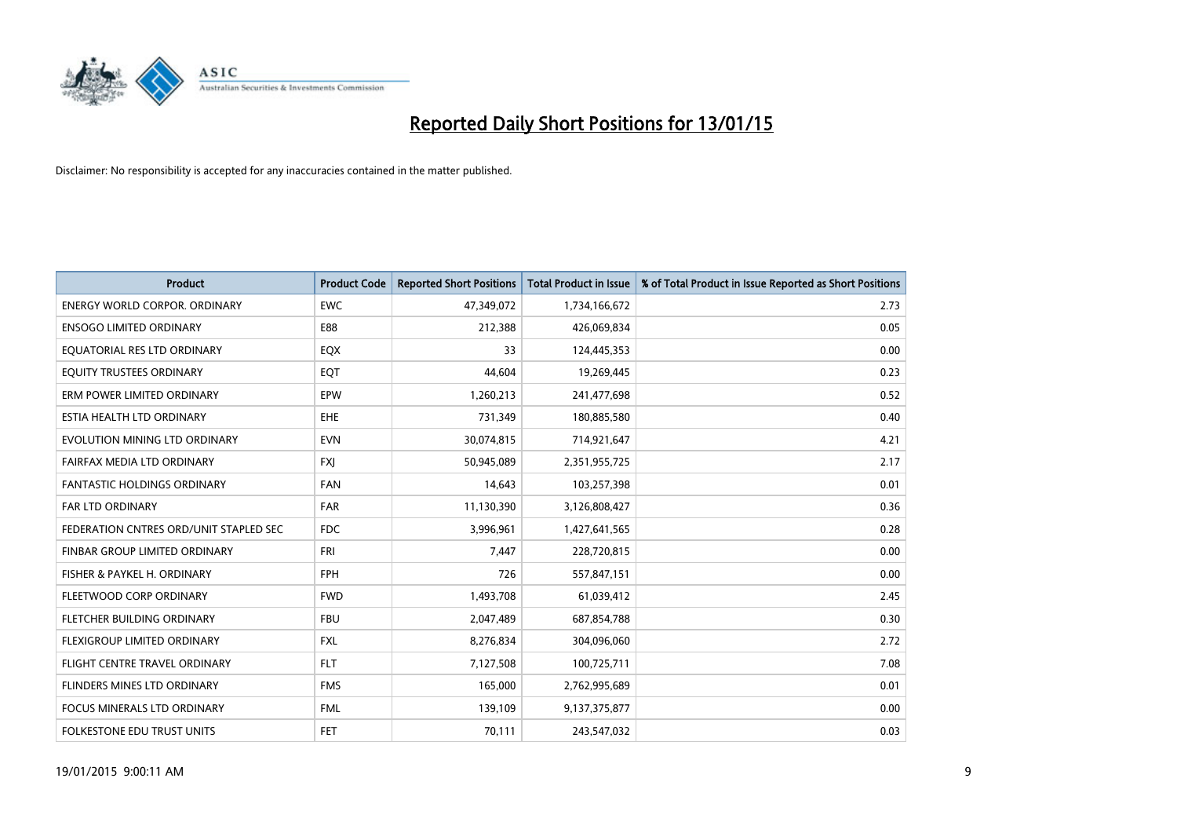

| <b>Product</b>                         | <b>Product Code</b> | <b>Reported Short Positions</b> | <b>Total Product in Issue</b> | % of Total Product in Issue Reported as Short Positions |
|----------------------------------------|---------------------|---------------------------------|-------------------------------|---------------------------------------------------------|
| <b>ENERGY WORLD CORPOR, ORDINARY</b>   | <b>EWC</b>          | 47,349,072                      | 1,734,166,672                 | 2.73                                                    |
| <b>ENSOGO LIMITED ORDINARY</b>         | E88                 | 212,388                         | 426,069,834                   | 0.05                                                    |
| EQUATORIAL RES LTD ORDINARY            | EQX                 | 33                              | 124,445,353                   | 0.00                                                    |
| EQUITY TRUSTEES ORDINARY               | EQT                 | 44,604                          | 19,269,445                    | 0.23                                                    |
| ERM POWER LIMITED ORDINARY             | EPW                 | 1,260,213                       | 241,477,698                   | 0.52                                                    |
| ESTIA HEALTH LTD ORDINARY              | EHE                 | 731,349                         | 180,885,580                   | 0.40                                                    |
| EVOLUTION MINING LTD ORDINARY          | <b>EVN</b>          | 30,074,815                      | 714,921,647                   | 4.21                                                    |
| FAIRFAX MEDIA LTD ORDINARY             | <b>FXJ</b>          | 50,945,089                      | 2,351,955,725                 | 2.17                                                    |
| <b>FANTASTIC HOLDINGS ORDINARY</b>     | <b>FAN</b>          | 14,643                          | 103,257,398                   | 0.01                                                    |
| FAR LTD ORDINARY                       | FAR                 | 11,130,390                      | 3,126,808,427                 | 0.36                                                    |
| FEDERATION CNTRES ORD/UNIT STAPLED SEC | <b>FDC</b>          | 3,996,961                       | 1,427,641,565                 | 0.28                                                    |
| <b>FINBAR GROUP LIMITED ORDINARY</b>   | <b>FRI</b>          | 7,447                           | 228,720,815                   | 0.00                                                    |
| FISHER & PAYKEL H. ORDINARY            | <b>FPH</b>          | 726                             | 557,847,151                   | 0.00                                                    |
| FLEETWOOD CORP ORDINARY                | <b>FWD</b>          | 1,493,708                       | 61,039,412                    | 2.45                                                    |
| FLETCHER BUILDING ORDINARY             | <b>FBU</b>          | 2,047,489                       | 687,854,788                   | 0.30                                                    |
| FLEXIGROUP LIMITED ORDINARY            | <b>FXL</b>          | 8,276,834                       | 304,096,060                   | 2.72                                                    |
| FLIGHT CENTRE TRAVEL ORDINARY          | <b>FLT</b>          | 7,127,508                       | 100,725,711                   | 7.08                                                    |
| FLINDERS MINES LTD ORDINARY            | <b>FMS</b>          | 165,000                         | 2,762,995,689                 | 0.01                                                    |
| <b>FOCUS MINERALS LTD ORDINARY</b>     | <b>FML</b>          | 139,109                         | 9,137,375,877                 | 0.00                                                    |
| FOLKESTONE EDU TRUST UNITS             | <b>FET</b>          | 70,111                          | 243,547,032                   | 0.03                                                    |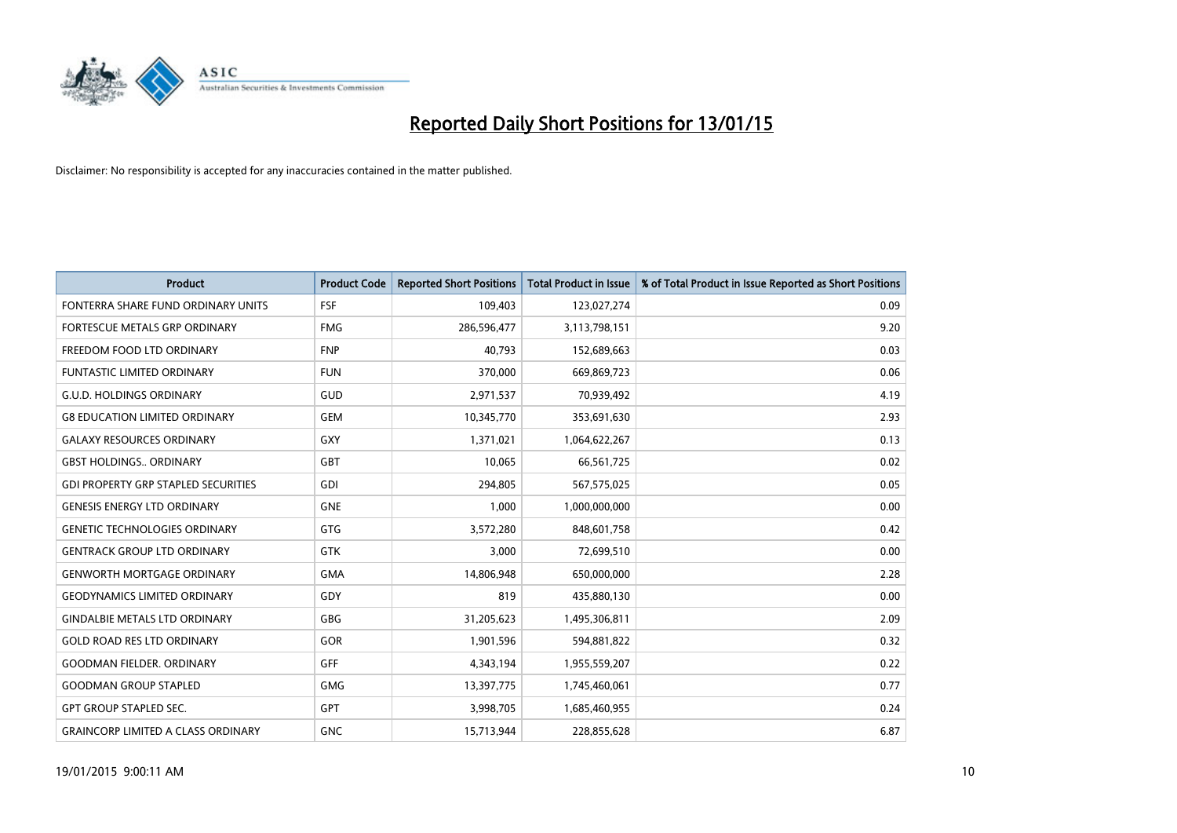

| <b>Product</b>                             | <b>Product Code</b> | <b>Reported Short Positions</b> | <b>Total Product in Issue</b> | % of Total Product in Issue Reported as Short Positions |
|--------------------------------------------|---------------------|---------------------------------|-------------------------------|---------------------------------------------------------|
| FONTERRA SHARE FUND ORDINARY UNITS         | <b>FSF</b>          | 109,403                         | 123,027,274                   | 0.09                                                    |
| FORTESCUE METALS GRP ORDINARY              | <b>FMG</b>          | 286,596,477                     | 3,113,798,151                 | 9.20                                                    |
| FREEDOM FOOD LTD ORDINARY                  | <b>FNP</b>          | 40,793                          | 152,689,663                   | 0.03                                                    |
| <b>FUNTASTIC LIMITED ORDINARY</b>          | <b>FUN</b>          | 370,000                         | 669,869,723                   | 0.06                                                    |
| <b>G.U.D. HOLDINGS ORDINARY</b>            | GUD                 | 2,971,537                       | 70,939,492                    | 4.19                                                    |
| <b>G8 EDUCATION LIMITED ORDINARY</b>       | <b>GEM</b>          | 10,345,770                      | 353,691,630                   | 2.93                                                    |
| <b>GALAXY RESOURCES ORDINARY</b>           | <b>GXY</b>          | 1,371,021                       | 1,064,622,267                 | 0.13                                                    |
| <b>GBST HOLDINGS ORDINARY</b>              | <b>GBT</b>          | 10,065                          | 66,561,725                    | 0.02                                                    |
| <b>GDI PROPERTY GRP STAPLED SECURITIES</b> | GDI                 | 294.805                         | 567,575,025                   | 0.05                                                    |
| <b>GENESIS ENERGY LTD ORDINARY</b>         | <b>GNE</b>          | 1,000                           | 1,000,000,000                 | 0.00                                                    |
| <b>GENETIC TECHNOLOGIES ORDINARY</b>       | <b>GTG</b>          | 3,572,280                       | 848,601,758                   | 0.42                                                    |
| <b>GENTRACK GROUP LTD ORDINARY</b>         | <b>GTK</b>          | 3,000                           | 72,699,510                    | 0.00                                                    |
| <b>GENWORTH MORTGAGE ORDINARY</b>          | <b>GMA</b>          | 14,806,948                      | 650,000,000                   | 2.28                                                    |
| <b>GEODYNAMICS LIMITED ORDINARY</b>        | GDY                 | 819                             | 435,880,130                   | 0.00                                                    |
| <b>GINDALBIE METALS LTD ORDINARY</b>       | GBG                 | 31,205,623                      | 1,495,306,811                 | 2.09                                                    |
| <b>GOLD ROAD RES LTD ORDINARY</b>          | GOR                 | 1,901,596                       | 594,881,822                   | 0.32                                                    |
| <b>GOODMAN FIELDER. ORDINARY</b>           | GFF                 | 4,343,194                       | 1,955,559,207                 | 0.22                                                    |
| <b>GOODMAN GROUP STAPLED</b>               | <b>GMG</b>          | 13,397,775                      | 1,745,460,061                 | 0.77                                                    |
| <b>GPT GROUP STAPLED SEC.</b>              | <b>GPT</b>          | 3,998,705                       | 1,685,460,955                 | 0.24                                                    |
| <b>GRAINCORP LIMITED A CLASS ORDINARY</b>  | <b>GNC</b>          | 15,713,944                      | 228,855,628                   | 6.87                                                    |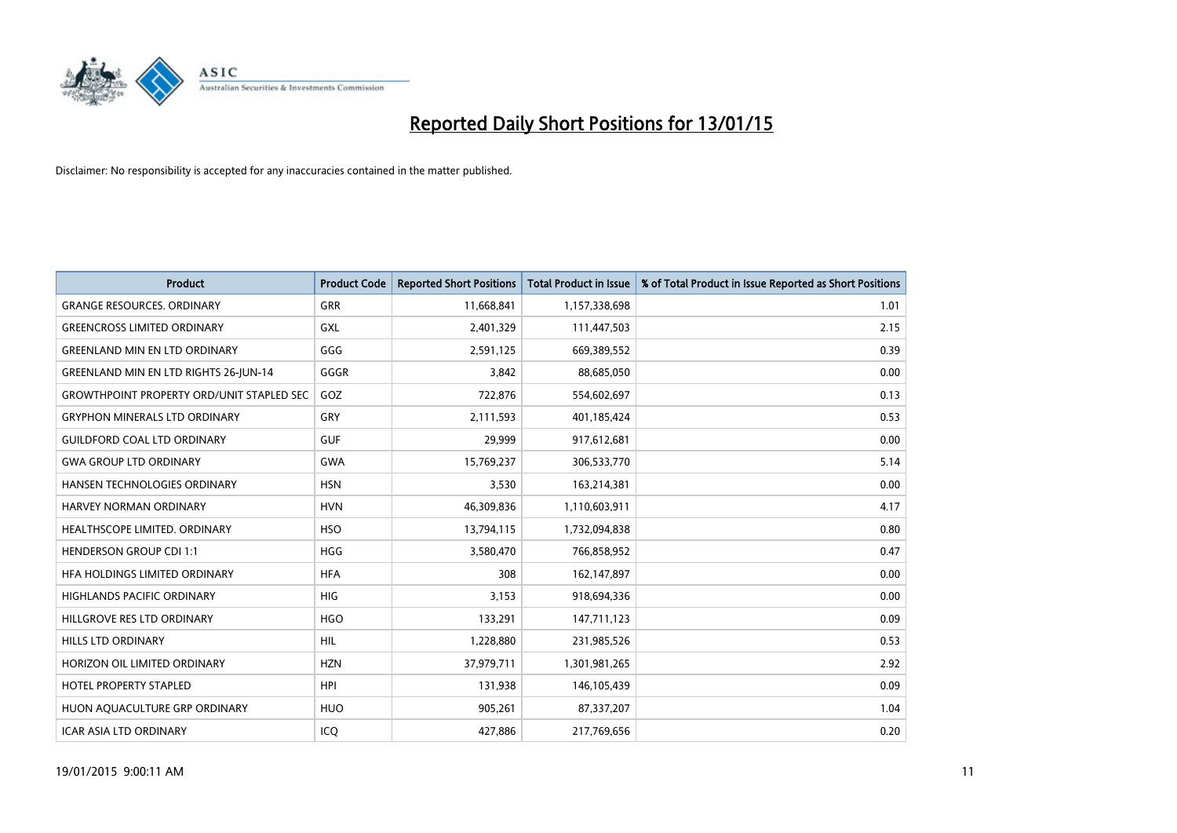

| <b>Product</b>                                   | <b>Product Code</b> | <b>Reported Short Positions</b> | <b>Total Product in Issue</b> | % of Total Product in Issue Reported as Short Positions |
|--------------------------------------------------|---------------------|---------------------------------|-------------------------------|---------------------------------------------------------|
| <b>GRANGE RESOURCES, ORDINARY</b>                | <b>GRR</b>          | 11,668,841                      | 1,157,338,698                 | 1.01                                                    |
| <b>GREENCROSS LIMITED ORDINARY</b>               | GXL                 | 2,401,329                       | 111,447,503                   | 2.15                                                    |
| <b>GREENLAND MIN EN LTD ORDINARY</b>             | GGG                 | 2,591,125                       | 669,389,552                   | 0.39                                                    |
| GREENLAND MIN EN LTD RIGHTS 26-JUN-14            | GGGR                | 3,842                           | 88,685,050                    | 0.00                                                    |
| <b>GROWTHPOINT PROPERTY ORD/UNIT STAPLED SEC</b> | GOZ                 | 722,876                         | 554,602,697                   | 0.13                                                    |
| <b>GRYPHON MINERALS LTD ORDINARY</b>             | GRY                 | 2,111,593                       | 401,185,424                   | 0.53                                                    |
| <b>GUILDFORD COAL LTD ORDINARY</b>               | <b>GUF</b>          | 29,999                          | 917,612,681                   | 0.00                                                    |
| <b>GWA GROUP LTD ORDINARY</b>                    | GWA                 | 15,769,237                      | 306,533,770                   | 5.14                                                    |
| HANSEN TECHNOLOGIES ORDINARY                     | <b>HSN</b>          | 3,530                           | 163,214,381                   | 0.00                                                    |
| <b>HARVEY NORMAN ORDINARY</b>                    | <b>HVN</b>          | 46,309,836                      | 1,110,603,911                 | 4.17                                                    |
| HEALTHSCOPE LIMITED. ORDINARY                    | <b>HSO</b>          | 13,794,115                      | 1,732,094,838                 | 0.80                                                    |
| <b>HENDERSON GROUP CDI 1:1</b>                   | <b>HGG</b>          | 3,580,470                       | 766,858,952                   | 0.47                                                    |
| HFA HOLDINGS LIMITED ORDINARY                    | <b>HFA</b>          | 308                             | 162,147,897                   | 0.00                                                    |
| HIGHLANDS PACIFIC ORDINARY                       | HIG                 | 3,153                           | 918,694,336                   | 0.00                                                    |
| HILLGROVE RES LTD ORDINARY                       | <b>HGO</b>          | 133,291                         | 147,711,123                   | 0.09                                                    |
| <b>HILLS LTD ORDINARY</b>                        | <b>HIL</b>          | 1,228,880                       | 231,985,526                   | 0.53                                                    |
| HORIZON OIL LIMITED ORDINARY                     | <b>HZN</b>          | 37,979,711                      | 1,301,981,265                 | 2.92                                                    |
| <b>HOTEL PROPERTY STAPLED</b>                    | <b>HPI</b>          | 131,938                         | 146,105,439                   | 0.09                                                    |
| HUON AQUACULTURE GRP ORDINARY                    | <b>HUO</b>          | 905,261                         | 87,337,207                    | 1.04                                                    |
| ICAR ASIA LTD ORDINARY                           | ICQ                 | 427,886                         | 217,769,656                   | 0.20                                                    |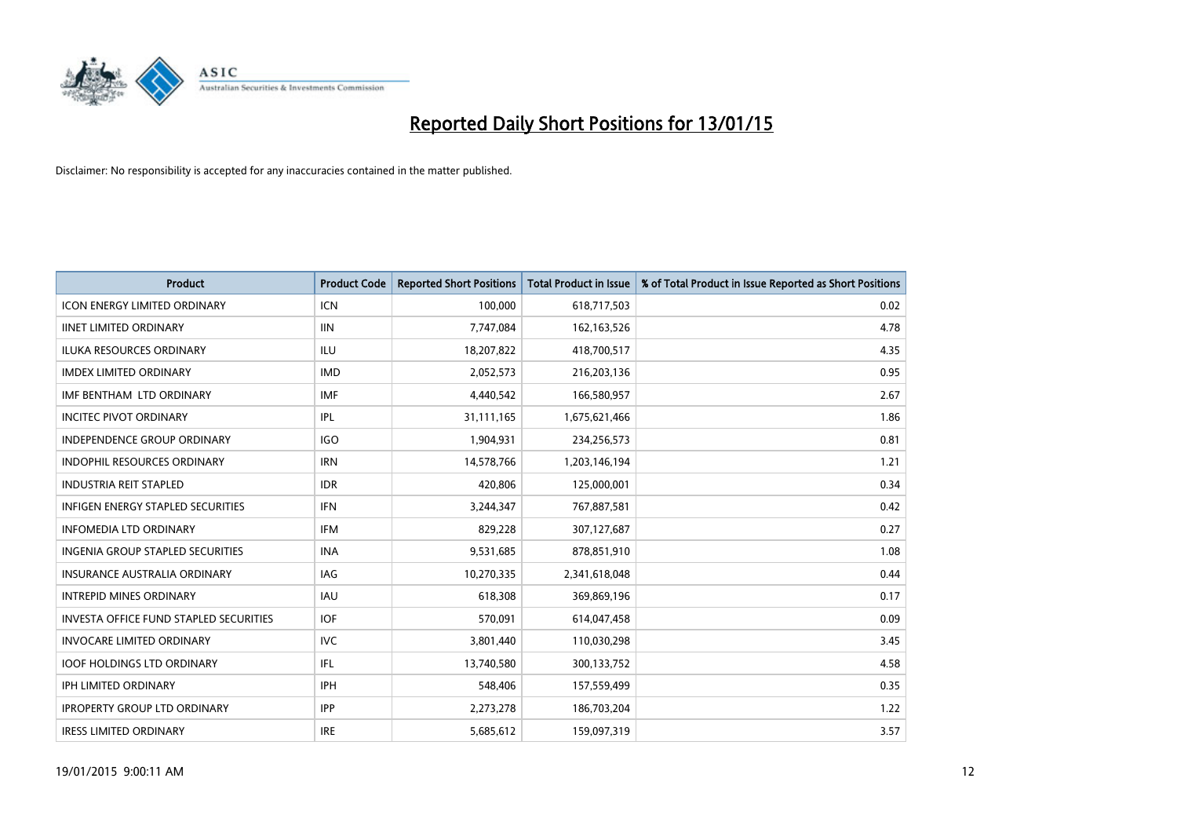

| <b>Product</b>                                | <b>Product Code</b> | <b>Reported Short Positions</b> | <b>Total Product in Issue</b> | % of Total Product in Issue Reported as Short Positions |
|-----------------------------------------------|---------------------|---------------------------------|-------------------------------|---------------------------------------------------------|
| <b>ICON ENERGY LIMITED ORDINARY</b>           | <b>ICN</b>          | 100,000                         | 618,717,503                   | 0.02                                                    |
| <b>IINET LIMITED ORDINARY</b>                 | <b>IIN</b>          | 7,747,084                       | 162,163,526                   | 4.78                                                    |
| <b>ILUKA RESOURCES ORDINARY</b>               | ILU                 | 18,207,822                      | 418,700,517                   | 4.35                                                    |
| <b>IMDEX LIMITED ORDINARY</b>                 | <b>IMD</b>          | 2,052,573                       | 216,203,136                   | 0.95                                                    |
| IMF BENTHAM LTD ORDINARY                      | <b>IMF</b>          | 4,440,542                       | 166,580,957                   | 2.67                                                    |
| <b>INCITEC PIVOT ORDINARY</b>                 | IPL                 | 31,111,165                      | 1,675,621,466                 | 1.86                                                    |
| <b>INDEPENDENCE GROUP ORDINARY</b>            | <b>IGO</b>          | 1,904,931                       | 234,256,573                   | 0.81                                                    |
| INDOPHIL RESOURCES ORDINARY                   | <b>IRN</b>          | 14,578,766                      | 1,203,146,194                 | 1.21                                                    |
| <b>INDUSTRIA REIT STAPLED</b>                 | <b>IDR</b>          | 420,806                         | 125,000,001                   | 0.34                                                    |
| <b>INFIGEN ENERGY STAPLED SECURITIES</b>      | IFN                 | 3,244,347                       | 767,887,581                   | 0.42                                                    |
| <b>INFOMEDIA LTD ORDINARY</b>                 | IFM                 | 829,228                         | 307,127,687                   | 0.27                                                    |
| <b>INGENIA GROUP STAPLED SECURITIES</b>       | <b>INA</b>          | 9,531,685                       | 878,851,910                   | 1.08                                                    |
| <b>INSURANCE AUSTRALIA ORDINARY</b>           | IAG                 | 10,270,335                      | 2,341,618,048                 | 0.44                                                    |
| <b>INTREPID MINES ORDINARY</b>                | <b>IAU</b>          | 618,308                         | 369,869,196                   | 0.17                                                    |
| <b>INVESTA OFFICE FUND STAPLED SECURITIES</b> | <b>IOF</b>          | 570,091                         | 614,047,458                   | 0.09                                                    |
| <b>INVOCARE LIMITED ORDINARY</b>              | <b>IVC</b>          | 3,801,440                       | 110,030,298                   | 3.45                                                    |
| <b>IOOF HOLDINGS LTD ORDINARY</b>             | IFL                 | 13,740,580                      | 300,133,752                   | 4.58                                                    |
| IPH LIMITED ORDINARY                          | <b>IPH</b>          | 548,406                         | 157,559,499                   | 0.35                                                    |
| <b>IPROPERTY GROUP LTD ORDINARY</b>           | <b>IPP</b>          | 2,273,278                       | 186,703,204                   | 1.22                                                    |
| <b>IRESS LIMITED ORDINARY</b>                 | <b>IRE</b>          | 5,685,612                       | 159,097,319                   | 3.57                                                    |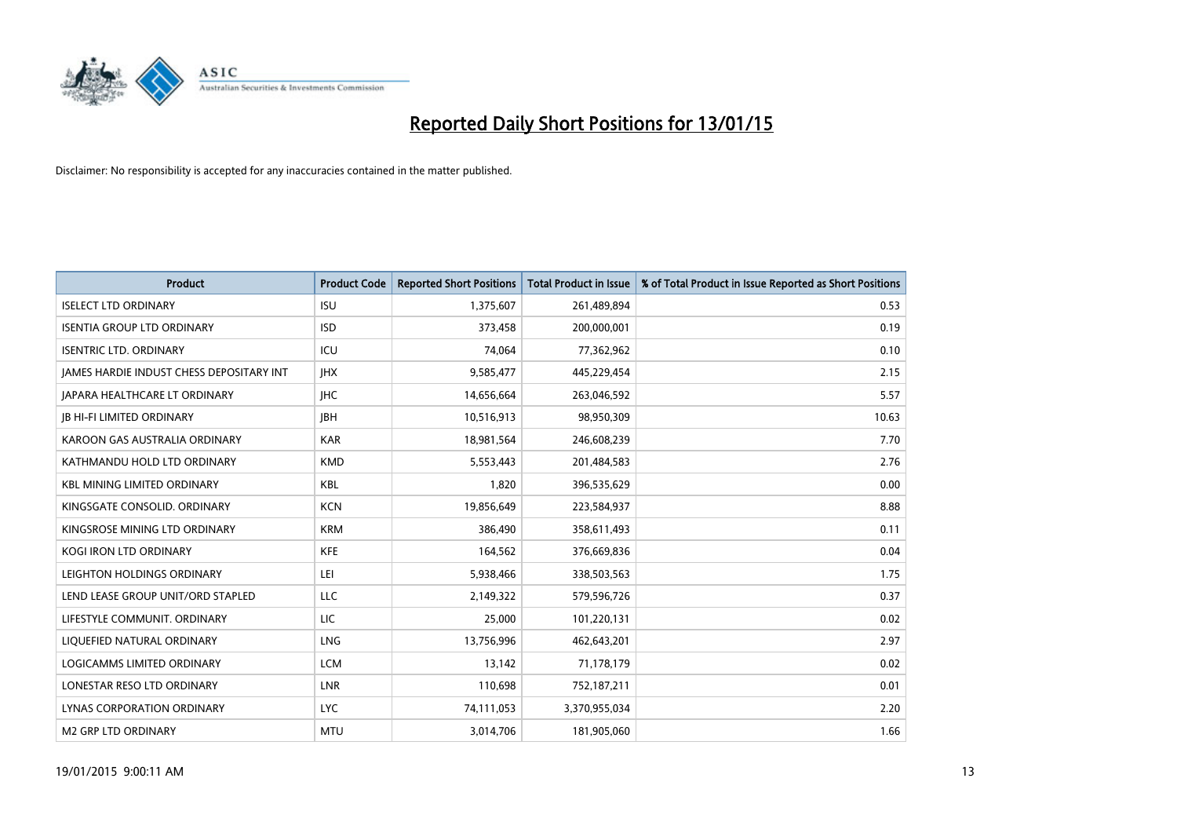

| <b>Product</b>                           | <b>Product Code</b> | <b>Reported Short Positions</b> | <b>Total Product in Issue</b> | % of Total Product in Issue Reported as Short Positions |
|------------------------------------------|---------------------|---------------------------------|-------------------------------|---------------------------------------------------------|
| <b>ISELECT LTD ORDINARY</b>              | <b>ISU</b>          | 1,375,607                       | 261,489,894                   | 0.53                                                    |
| <b>ISENTIA GROUP LTD ORDINARY</b>        | <b>ISD</b>          | 373,458                         | 200,000,001                   | 0.19                                                    |
| <b>ISENTRIC LTD. ORDINARY</b>            | ICU                 | 74,064                          | 77,362,962                    | 0.10                                                    |
| JAMES HARDIE INDUST CHESS DEPOSITARY INT | <b>IHX</b>          | 9,585,477                       | 445,229,454                   | 2.15                                                    |
| <b>JAPARA HEALTHCARE LT ORDINARY</b>     | <b>IHC</b>          | 14,656,664                      | 263,046,592                   | 5.57                                                    |
| JB HI-FI LIMITED ORDINARY                | <b>JBH</b>          | 10,516,913                      | 98,950,309                    | 10.63                                                   |
| KAROON GAS AUSTRALIA ORDINARY            | <b>KAR</b>          | 18,981,564                      | 246,608,239                   | 7.70                                                    |
| KATHMANDU HOLD LTD ORDINARY              | <b>KMD</b>          | 5,553,443                       | 201,484,583                   | 2.76                                                    |
| <b>KBL MINING LIMITED ORDINARY</b>       | <b>KBL</b>          | 1.820                           | 396,535,629                   | 0.00                                                    |
| KINGSGATE CONSOLID. ORDINARY             | <b>KCN</b>          | 19,856,649                      | 223,584,937                   | 8.88                                                    |
| KINGSROSE MINING LTD ORDINARY            | <b>KRM</b>          | 386,490                         | 358,611,493                   | 0.11                                                    |
| <b>KOGI IRON LTD ORDINARY</b>            | KFE                 | 164,562                         | 376,669,836                   | 0.04                                                    |
| LEIGHTON HOLDINGS ORDINARY               | LEI                 | 5,938,466                       | 338,503,563                   | 1.75                                                    |
| LEND LEASE GROUP UNIT/ORD STAPLED        | LLC                 | 2,149,322                       | 579,596,726                   | 0.37                                                    |
| LIFESTYLE COMMUNIT, ORDINARY             | LIC                 | 25,000                          | 101,220,131                   | 0.02                                                    |
| LIQUEFIED NATURAL ORDINARY               | LNG                 | 13,756,996                      | 462,643,201                   | 2.97                                                    |
| LOGICAMMS LIMITED ORDINARY               | <b>LCM</b>          | 13,142                          | 71,178,179                    | 0.02                                                    |
| LONESTAR RESO LTD ORDINARY               | <b>LNR</b>          | 110,698                         | 752,187,211                   | 0.01                                                    |
| LYNAS CORPORATION ORDINARY               | <b>LYC</b>          | 74,111,053                      | 3,370,955,034                 | 2.20                                                    |
| <b>M2 GRP LTD ORDINARY</b>               | <b>MTU</b>          | 3,014,706                       | 181,905,060                   | 1.66                                                    |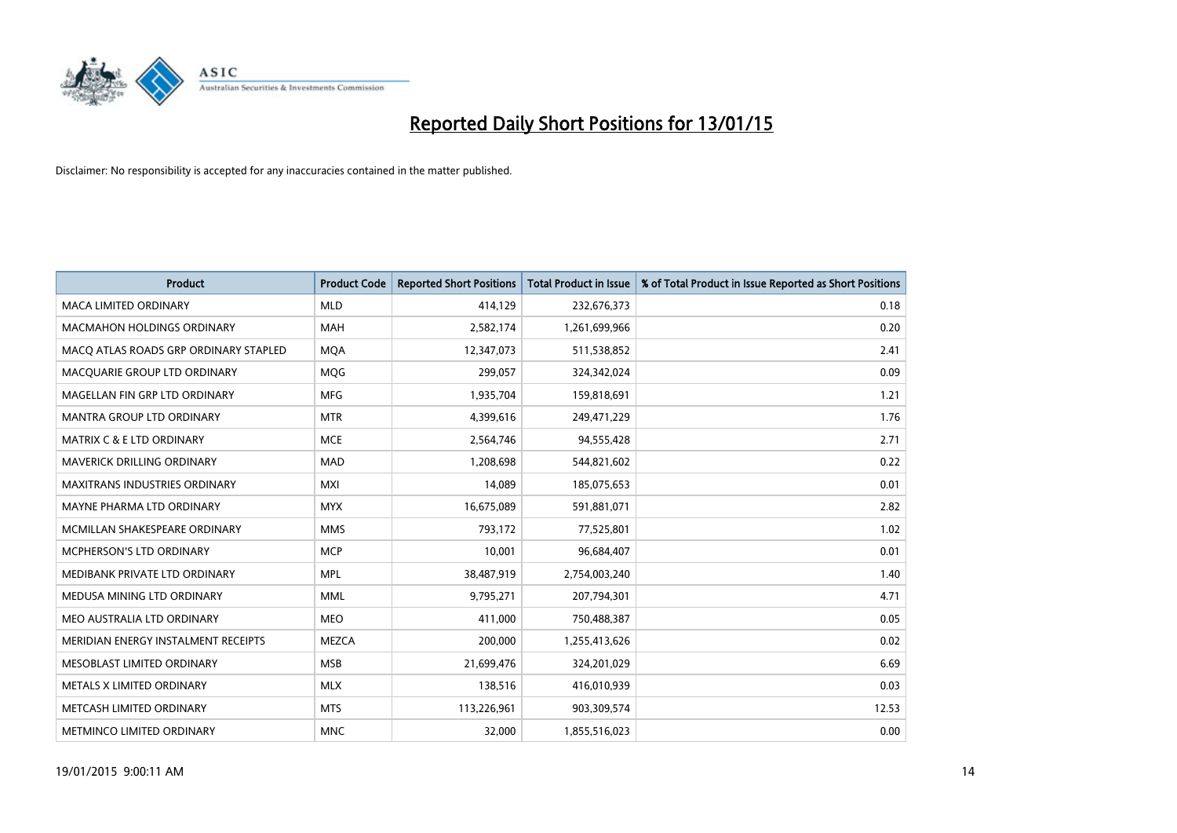

| <b>Product</b>                        | <b>Product Code</b> | <b>Reported Short Positions</b> | <b>Total Product in Issue</b> | % of Total Product in Issue Reported as Short Positions |
|---------------------------------------|---------------------|---------------------------------|-------------------------------|---------------------------------------------------------|
| <b>MACA LIMITED ORDINARY</b>          | <b>MLD</b>          | 414,129                         | 232,676,373                   | 0.18                                                    |
| <b>MACMAHON HOLDINGS ORDINARY</b>     | MAH                 | 2,582,174                       | 1,261,699,966                 | 0.20                                                    |
| MACO ATLAS ROADS GRP ORDINARY STAPLED | <b>MQA</b>          | 12,347,073                      | 511,538,852                   | 2.41                                                    |
| MACQUARIE GROUP LTD ORDINARY          | <b>MQG</b>          | 299,057                         | 324,342,024                   | 0.09                                                    |
| MAGELLAN FIN GRP LTD ORDINARY         | <b>MFG</b>          | 1,935,704                       | 159,818,691                   | 1.21                                                    |
| <b>MANTRA GROUP LTD ORDINARY</b>      | <b>MTR</b>          | 4,399,616                       | 249,471,229                   | 1.76                                                    |
| <b>MATRIX C &amp; E LTD ORDINARY</b>  | <b>MCE</b>          | 2,564,746                       | 94,555,428                    | 2.71                                                    |
| <b>MAVERICK DRILLING ORDINARY</b>     | <b>MAD</b>          | 1,208,698                       | 544,821,602                   | 0.22                                                    |
| <b>MAXITRANS INDUSTRIES ORDINARY</b>  | <b>MXI</b>          | 14,089                          | 185,075,653                   | 0.01                                                    |
| MAYNE PHARMA LTD ORDINARY             | <b>MYX</b>          | 16,675,089                      | 591,881,071                   | 2.82                                                    |
| MCMILLAN SHAKESPEARE ORDINARY         | <b>MMS</b>          | 793,172                         | 77,525,801                    | 1.02                                                    |
| MCPHERSON'S LTD ORDINARY              | <b>MCP</b>          | 10,001                          | 96,684,407                    | 0.01                                                    |
| MEDIBANK PRIVATE LTD ORDINARY         | <b>MPL</b>          | 38,487,919                      | 2,754,003,240                 | 1.40                                                    |
| MEDUSA MINING LTD ORDINARY            | <b>MML</b>          | 9,795,271                       | 207,794,301                   | 4.71                                                    |
| MEO AUSTRALIA LTD ORDINARY            | <b>MEO</b>          | 411,000                         | 750,488,387                   | 0.05                                                    |
| MERIDIAN ENERGY INSTALMENT RECEIPTS   | <b>MEZCA</b>        | 200,000                         | 1,255,413,626                 | 0.02                                                    |
| MESOBLAST LIMITED ORDINARY            | <b>MSB</b>          | 21,699,476                      | 324,201,029                   | 6.69                                                    |
| METALS X LIMITED ORDINARY             | <b>MLX</b>          | 138,516                         | 416,010,939                   | 0.03                                                    |
| METCASH LIMITED ORDINARY              | <b>MTS</b>          | 113,226,961                     | 903,309,574                   | 12.53                                                   |
| METMINCO LIMITED ORDINARY             | <b>MNC</b>          | 32,000                          | 1,855,516,023                 | 0.00                                                    |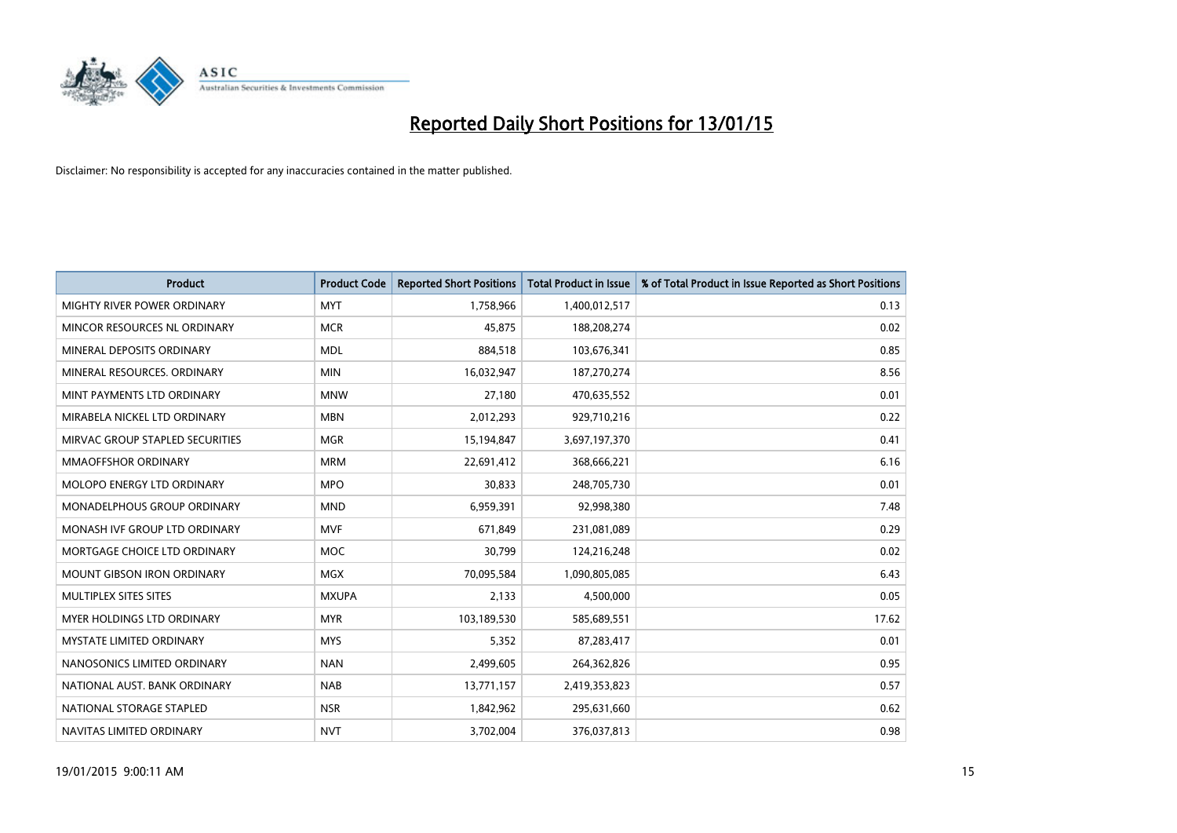

| <b>Product</b>                    | <b>Product Code</b> | <b>Reported Short Positions</b> | <b>Total Product in Issue</b> | % of Total Product in Issue Reported as Short Positions |
|-----------------------------------|---------------------|---------------------------------|-------------------------------|---------------------------------------------------------|
| MIGHTY RIVER POWER ORDINARY       | <b>MYT</b>          | 1,758,966                       | 1,400,012,517                 | 0.13                                                    |
| MINCOR RESOURCES NL ORDINARY      | <b>MCR</b>          | 45,875                          | 188,208,274                   | 0.02                                                    |
| MINERAL DEPOSITS ORDINARY         | <b>MDL</b>          | 884,518                         | 103,676,341                   | 0.85                                                    |
| MINERAL RESOURCES, ORDINARY       | <b>MIN</b>          | 16,032,947                      | 187,270,274                   | 8.56                                                    |
| MINT PAYMENTS LTD ORDINARY        | <b>MNW</b>          | 27,180                          | 470,635,552                   | 0.01                                                    |
| MIRABELA NICKEL LTD ORDINARY      | <b>MBN</b>          | 2,012,293                       | 929,710,216                   | 0.22                                                    |
| MIRVAC GROUP STAPLED SECURITIES   | <b>MGR</b>          | 15,194,847                      | 3,697,197,370                 | 0.41                                                    |
| <b>MMAOFFSHOR ORDINARY</b>        | <b>MRM</b>          | 22,691,412                      | 368,666,221                   | 6.16                                                    |
| MOLOPO ENERGY LTD ORDINARY        | <b>MPO</b>          | 30,833                          | 248,705,730                   | 0.01                                                    |
| MONADELPHOUS GROUP ORDINARY       | <b>MND</b>          | 6,959,391                       | 92,998,380                    | 7.48                                                    |
| MONASH IVF GROUP LTD ORDINARY     | <b>MVF</b>          | 671,849                         | 231,081,089                   | 0.29                                                    |
| MORTGAGE CHOICE LTD ORDINARY      | <b>MOC</b>          | 30.799                          | 124,216,248                   | 0.02                                                    |
| <b>MOUNT GIBSON IRON ORDINARY</b> | <b>MGX</b>          | 70,095,584                      | 1,090,805,085                 | 6.43                                                    |
| MULTIPLEX SITES SITES             | <b>MXUPA</b>        | 2,133                           | 4,500,000                     | 0.05                                                    |
| <b>MYER HOLDINGS LTD ORDINARY</b> | <b>MYR</b>          | 103,189,530                     | 585,689,551                   | 17.62                                                   |
| <b>MYSTATE LIMITED ORDINARY</b>   | <b>MYS</b>          | 5,352                           | 87,283,417                    | 0.01                                                    |
| NANOSONICS LIMITED ORDINARY       | <b>NAN</b>          | 2,499,605                       | 264,362,826                   | 0.95                                                    |
| NATIONAL AUST. BANK ORDINARY      | <b>NAB</b>          | 13,771,157                      | 2,419,353,823                 | 0.57                                                    |
| NATIONAL STORAGE STAPLED          | <b>NSR</b>          | 1,842,962                       | 295,631,660                   | 0.62                                                    |
| NAVITAS LIMITED ORDINARY          | <b>NVT</b>          | 3,702,004                       | 376,037,813                   | 0.98                                                    |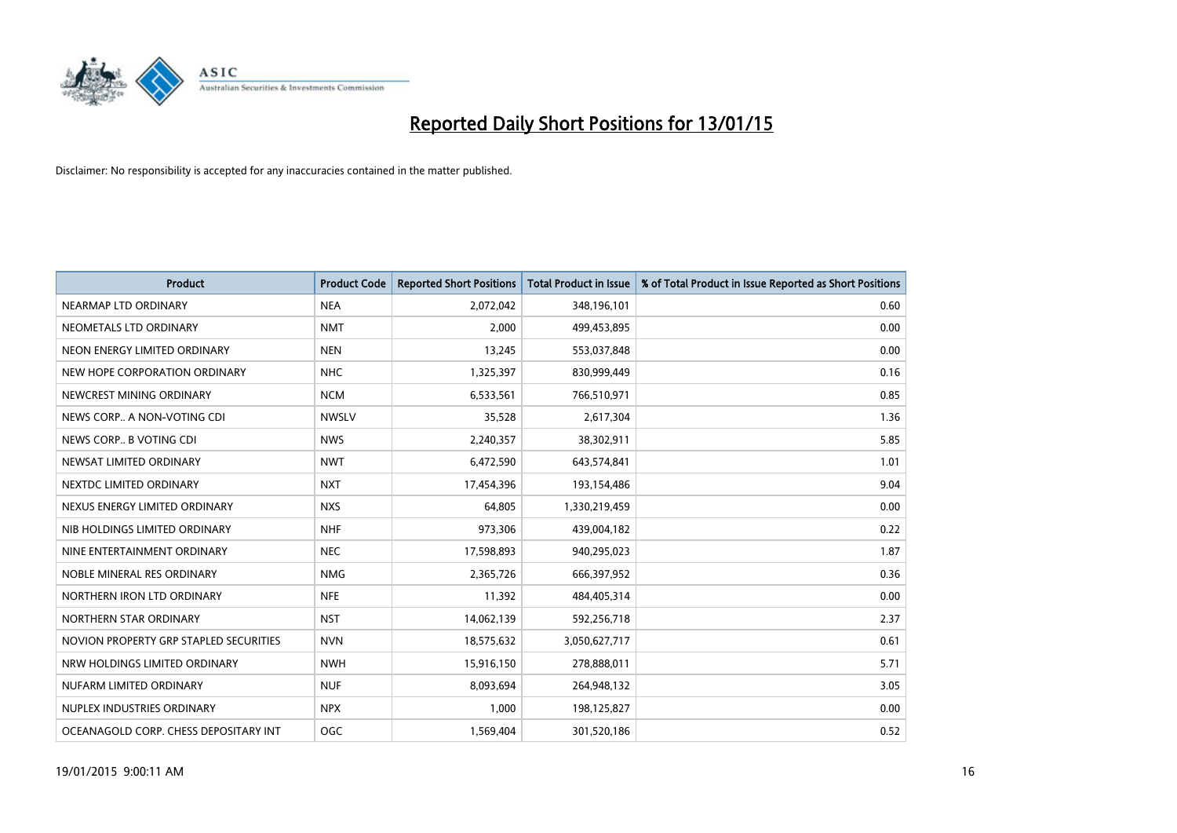

| <b>Product</b>                         | <b>Product Code</b> | <b>Reported Short Positions</b> | <b>Total Product in Issue</b> | % of Total Product in Issue Reported as Short Positions |
|----------------------------------------|---------------------|---------------------------------|-------------------------------|---------------------------------------------------------|
| NEARMAP LTD ORDINARY                   | <b>NEA</b>          | 2,072,042                       | 348,196,101                   | 0.60                                                    |
| NEOMETALS LTD ORDINARY                 | <b>NMT</b>          | 2,000                           | 499,453,895                   | 0.00                                                    |
| NEON ENERGY LIMITED ORDINARY           | <b>NEN</b>          | 13,245                          | 553,037,848                   | 0.00                                                    |
| NEW HOPE CORPORATION ORDINARY          | <b>NHC</b>          | 1,325,397                       | 830,999,449                   | 0.16                                                    |
| NEWCREST MINING ORDINARY               | <b>NCM</b>          | 6,533,561                       | 766,510,971                   | 0.85                                                    |
| NEWS CORP A NON-VOTING CDI             | <b>NWSLV</b>        | 35,528                          | 2,617,304                     | 1.36                                                    |
| NEWS CORP B VOTING CDI                 | <b>NWS</b>          | 2,240,357                       | 38,302,911                    | 5.85                                                    |
| NEWSAT LIMITED ORDINARY                | <b>NWT</b>          | 6,472,590                       | 643,574,841                   | 1.01                                                    |
| NEXTDC LIMITED ORDINARY                | <b>NXT</b>          | 17,454,396                      | 193,154,486                   | 9.04                                                    |
| NEXUS ENERGY LIMITED ORDINARY          | <b>NXS</b>          | 64,805                          | 1,330,219,459                 | 0.00                                                    |
| NIB HOLDINGS LIMITED ORDINARY          | <b>NHF</b>          | 973,306                         | 439,004,182                   | 0.22                                                    |
| NINE ENTERTAINMENT ORDINARY            | <b>NEC</b>          | 17,598,893                      | 940,295,023                   | 1.87                                                    |
| NOBLE MINERAL RES ORDINARY             | <b>NMG</b>          | 2,365,726                       | 666,397,952                   | 0.36                                                    |
| NORTHERN IRON LTD ORDINARY             | <b>NFE</b>          | 11,392                          | 484,405,314                   | 0.00                                                    |
| NORTHERN STAR ORDINARY                 | <b>NST</b>          | 14,062,139                      | 592,256,718                   | 2.37                                                    |
| NOVION PROPERTY GRP STAPLED SECURITIES | <b>NVN</b>          | 18,575,632                      | 3,050,627,717                 | 0.61                                                    |
| NRW HOLDINGS LIMITED ORDINARY          | <b>NWH</b>          | 15,916,150                      | 278,888,011                   | 5.71                                                    |
| NUFARM LIMITED ORDINARY                | <b>NUF</b>          | 8,093,694                       | 264,948,132                   | 3.05                                                    |
| NUPLEX INDUSTRIES ORDINARY             | <b>NPX</b>          | 1,000                           | 198,125,827                   | 0.00                                                    |
| OCEANAGOLD CORP. CHESS DEPOSITARY INT  | <b>OGC</b>          | 1,569,404                       | 301,520,186                   | 0.52                                                    |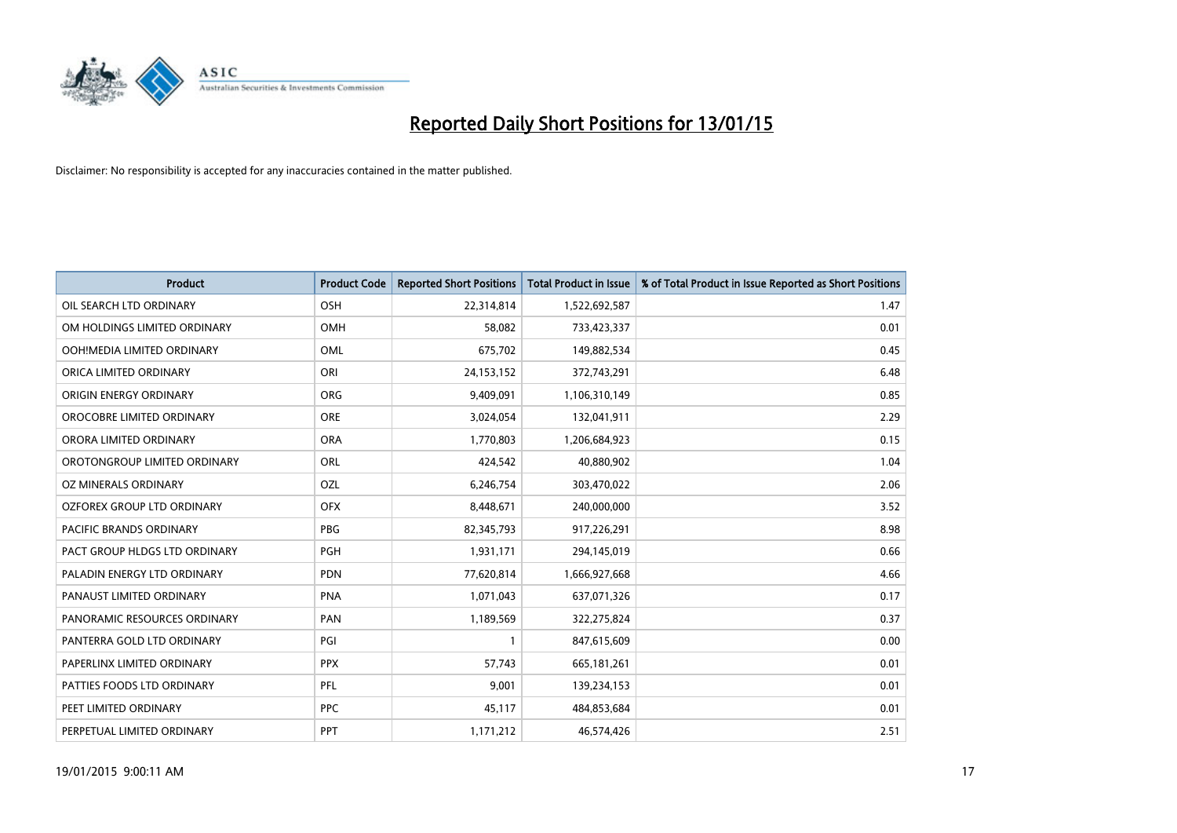

| <b>Product</b>                | <b>Product Code</b> | <b>Reported Short Positions</b> | <b>Total Product in Issue</b> | % of Total Product in Issue Reported as Short Positions |
|-------------------------------|---------------------|---------------------------------|-------------------------------|---------------------------------------------------------|
| OIL SEARCH LTD ORDINARY       | OSH                 | 22,314,814                      | 1,522,692,587                 | 1.47                                                    |
| OM HOLDINGS LIMITED ORDINARY  | OMH                 | 58,082                          | 733,423,337                   | 0.01                                                    |
| OOH!MEDIA LIMITED ORDINARY    | OML                 | 675,702                         | 149,882,534                   | 0.45                                                    |
| ORICA LIMITED ORDINARY        | ORI                 | 24,153,152                      | 372,743,291                   | 6.48                                                    |
| ORIGIN ENERGY ORDINARY        | <b>ORG</b>          | 9,409,091                       | 1,106,310,149                 | 0.85                                                    |
| OROCOBRE LIMITED ORDINARY     | ORE                 | 3,024,054                       | 132,041,911                   | 2.29                                                    |
| ORORA LIMITED ORDINARY        | <b>ORA</b>          | 1,770,803                       | 1,206,684,923                 | 0.15                                                    |
| OROTONGROUP LIMITED ORDINARY  | ORL                 | 424,542                         | 40,880,902                    | 1.04                                                    |
| <b>OZ MINERALS ORDINARY</b>   | OZL                 | 6,246,754                       | 303,470,022                   | 2.06                                                    |
| OZFOREX GROUP LTD ORDINARY    | <b>OFX</b>          | 8,448,671                       | 240,000,000                   | 3.52                                                    |
| PACIFIC BRANDS ORDINARY       | <b>PBG</b>          | 82,345,793                      | 917,226,291                   | 8.98                                                    |
| PACT GROUP HLDGS LTD ORDINARY | PGH                 | 1,931,171                       | 294,145,019                   | 0.66                                                    |
| PALADIN ENERGY LTD ORDINARY   | <b>PDN</b>          | 77,620,814                      | 1,666,927,668                 | 4.66                                                    |
| PANAUST LIMITED ORDINARY      | <b>PNA</b>          | 1,071,043                       | 637,071,326                   | 0.17                                                    |
| PANORAMIC RESOURCES ORDINARY  | PAN                 | 1,189,569                       | 322,275,824                   | 0.37                                                    |
| PANTERRA GOLD LTD ORDINARY    | PGI                 |                                 | 847,615,609                   | 0.00                                                    |
| PAPERLINX LIMITED ORDINARY    | <b>PPX</b>          | 57,743                          | 665, 181, 261                 | 0.01                                                    |
| PATTIES FOODS LTD ORDINARY    | <b>PFL</b>          | 9,001                           | 139,234,153                   | 0.01                                                    |
| PEET LIMITED ORDINARY         | <b>PPC</b>          | 45,117                          | 484,853,684                   | 0.01                                                    |
| PERPETUAL LIMITED ORDINARY    | <b>PPT</b>          | 1,171,212                       | 46,574,426                    | 2.51                                                    |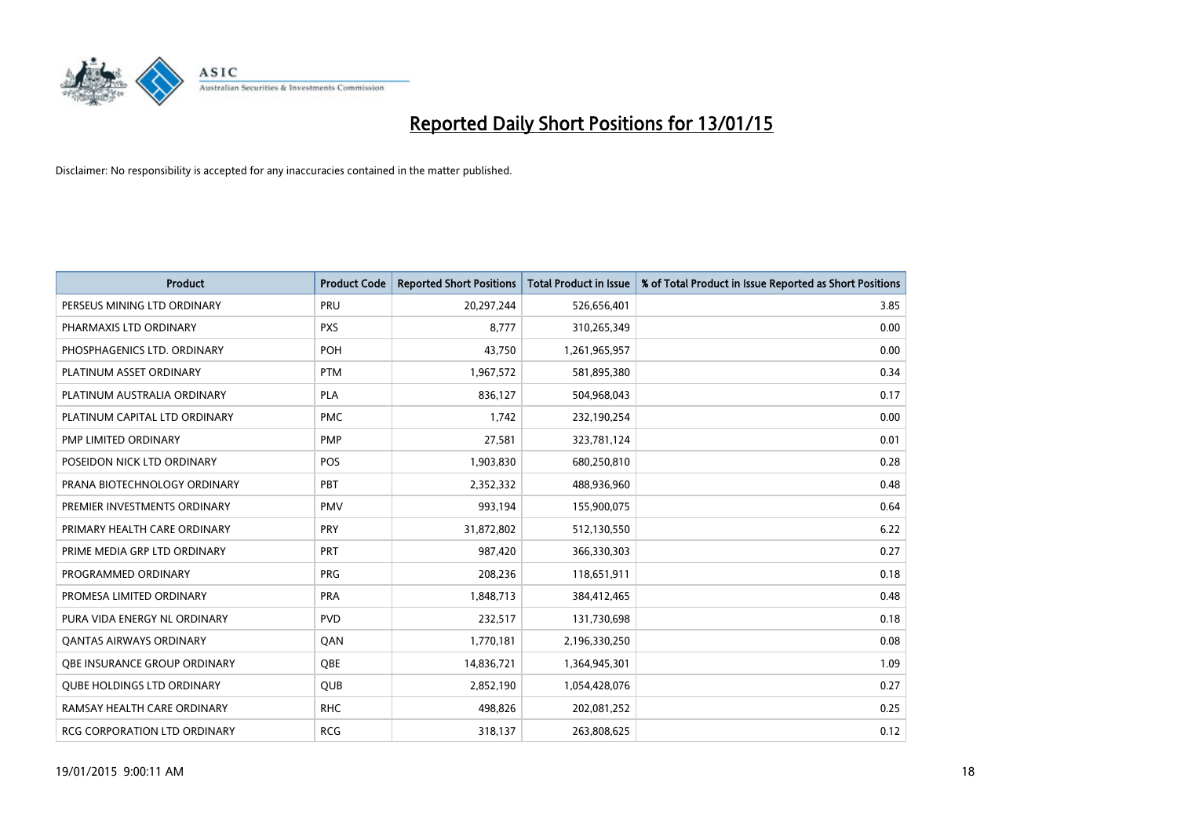

| <b>Product</b>                    | <b>Product Code</b> | <b>Reported Short Positions</b> | <b>Total Product in Issue</b> | % of Total Product in Issue Reported as Short Positions |
|-----------------------------------|---------------------|---------------------------------|-------------------------------|---------------------------------------------------------|
| PERSEUS MINING LTD ORDINARY       | PRU                 | 20,297,244                      | 526,656,401                   | 3.85                                                    |
| PHARMAXIS LTD ORDINARY            | <b>PXS</b>          | 8,777                           | 310,265,349                   | 0.00                                                    |
| PHOSPHAGENICS LTD. ORDINARY       | <b>POH</b>          | 43,750                          | 1,261,965,957                 | 0.00                                                    |
| PLATINUM ASSET ORDINARY           | <b>PTM</b>          | 1,967,572                       | 581,895,380                   | 0.34                                                    |
| PLATINUM AUSTRALIA ORDINARY       | <b>PLA</b>          | 836,127                         | 504,968,043                   | 0.17                                                    |
| PLATINUM CAPITAL LTD ORDINARY     | <b>PMC</b>          | 1,742                           | 232,190,254                   | 0.00                                                    |
| PMP LIMITED ORDINARY              | <b>PMP</b>          | 27,581                          | 323,781,124                   | 0.01                                                    |
| POSEIDON NICK LTD ORDINARY        | <b>POS</b>          | 1,903,830                       | 680,250,810                   | 0.28                                                    |
| PRANA BIOTECHNOLOGY ORDINARY      | <b>PBT</b>          | 2,352,332                       | 488,936,960                   | 0.48                                                    |
| PREMIER INVESTMENTS ORDINARY      | <b>PMV</b>          | 993,194                         | 155,900,075                   | 0.64                                                    |
| PRIMARY HEALTH CARE ORDINARY      | <b>PRY</b>          | 31,872,802                      | 512,130,550                   | 6.22                                                    |
| PRIME MEDIA GRP LTD ORDINARY      | <b>PRT</b>          | 987,420                         | 366,330,303                   | 0.27                                                    |
| PROGRAMMED ORDINARY               | <b>PRG</b>          | 208,236                         | 118,651,911                   | 0.18                                                    |
| PROMESA LIMITED ORDINARY          | <b>PRA</b>          | 1,848,713                       | 384,412,465                   | 0.48                                                    |
| PURA VIDA ENERGY NL ORDINARY      | <b>PVD</b>          | 232,517                         | 131,730,698                   | 0.18                                                    |
| <b>QANTAS AIRWAYS ORDINARY</b>    | QAN                 | 1,770,181                       | 2,196,330,250                 | 0.08                                                    |
| OBE INSURANCE GROUP ORDINARY      | QBE                 | 14,836,721                      | 1,364,945,301                 | 1.09                                                    |
| <b>OUBE HOLDINGS LTD ORDINARY</b> | <b>QUB</b>          | 2,852,190                       | 1,054,428,076                 | 0.27                                                    |
| RAMSAY HEALTH CARE ORDINARY       | <b>RHC</b>          | 498,826                         | 202,081,252                   | 0.25                                                    |
| RCG CORPORATION LTD ORDINARY      | <b>RCG</b>          | 318,137                         | 263,808,625                   | 0.12                                                    |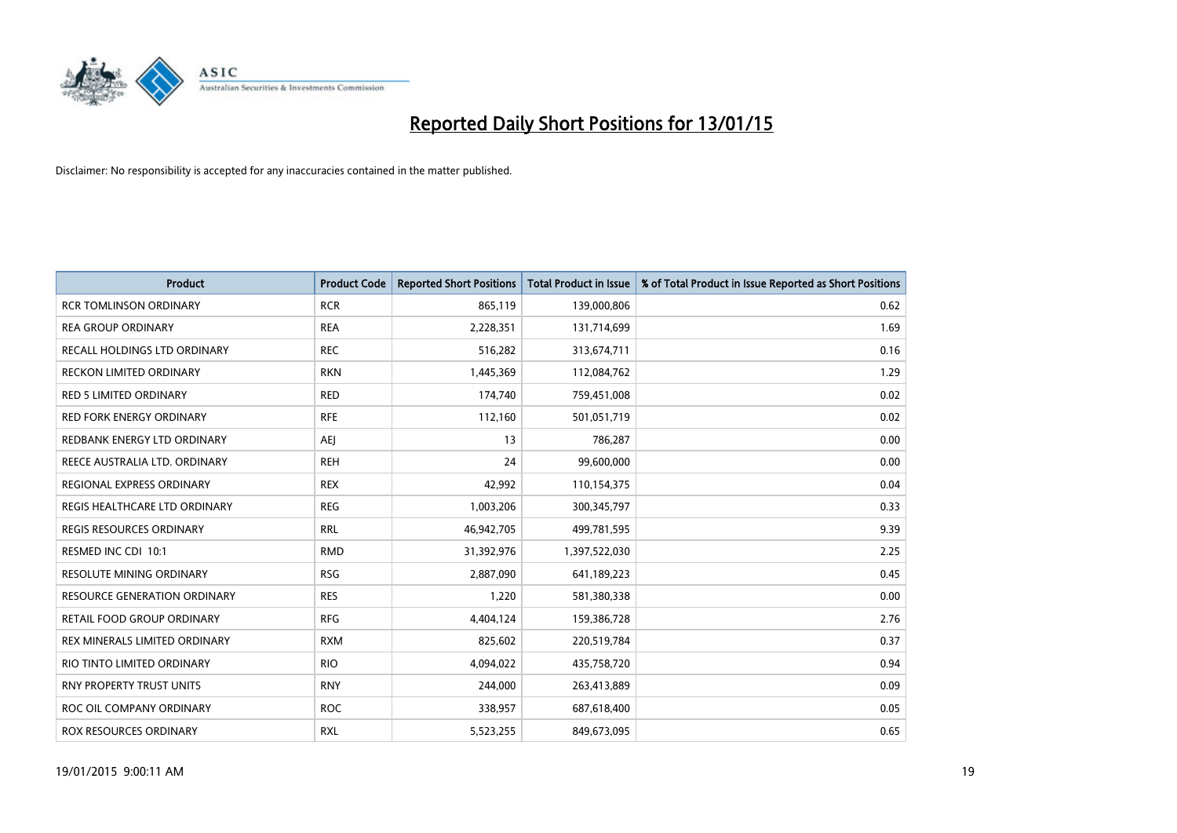

| Product                             | <b>Product Code</b> | <b>Reported Short Positions</b> | <b>Total Product in Issue</b> | % of Total Product in Issue Reported as Short Positions |
|-------------------------------------|---------------------|---------------------------------|-------------------------------|---------------------------------------------------------|
| <b>RCR TOMLINSON ORDINARY</b>       | <b>RCR</b>          | 865,119                         | 139,000,806                   | 0.62                                                    |
| <b>REA GROUP ORDINARY</b>           | <b>REA</b>          | 2,228,351                       | 131,714,699                   | 1.69                                                    |
| RECALL HOLDINGS LTD ORDINARY        | <b>REC</b>          | 516,282                         | 313,674,711                   | 0.16                                                    |
| <b>RECKON LIMITED ORDINARY</b>      | <b>RKN</b>          | 1,445,369                       | 112,084,762                   | 1.29                                                    |
| <b>RED 5 LIMITED ORDINARY</b>       | <b>RED</b>          | 174,740                         | 759,451,008                   | 0.02                                                    |
| <b>RED FORK ENERGY ORDINARY</b>     | <b>RFE</b>          | 112,160                         | 501,051,719                   | 0.02                                                    |
| REDBANK ENERGY LTD ORDINARY         | <b>AEJ</b>          | 13                              | 786,287                       | 0.00                                                    |
| REECE AUSTRALIA LTD. ORDINARY       | <b>REH</b>          | 24                              | 99,600,000                    | 0.00                                                    |
| REGIONAL EXPRESS ORDINARY           | <b>REX</b>          | 42,992                          | 110,154,375                   | 0.04                                                    |
| REGIS HEALTHCARE LTD ORDINARY       | <b>REG</b>          | 1,003,206                       | 300,345,797                   | 0.33                                                    |
| REGIS RESOURCES ORDINARY            | <b>RRL</b>          | 46,942,705                      | 499,781,595                   | 9.39                                                    |
| RESMED INC CDI 10:1                 | <b>RMD</b>          | 31,392,976                      | 1,397,522,030                 | 2.25                                                    |
| <b>RESOLUTE MINING ORDINARY</b>     | <b>RSG</b>          | 2,887,090                       | 641,189,223                   | 0.45                                                    |
| <b>RESOURCE GENERATION ORDINARY</b> | <b>RES</b>          | 1,220                           | 581,380,338                   | 0.00                                                    |
| RETAIL FOOD GROUP ORDINARY          | <b>RFG</b>          | 4,404,124                       | 159,386,728                   | 2.76                                                    |
| REX MINERALS LIMITED ORDINARY       | <b>RXM</b>          | 825,602                         | 220,519,784                   | 0.37                                                    |
| RIO TINTO LIMITED ORDINARY          | <b>RIO</b>          | 4,094,022                       | 435,758,720                   | 0.94                                                    |
| RNY PROPERTY TRUST UNITS            | <b>RNY</b>          | 244,000                         | 263,413,889                   | 0.09                                                    |
| ROC OIL COMPANY ORDINARY            | <b>ROC</b>          | 338,957                         | 687,618,400                   | 0.05                                                    |
| ROX RESOURCES ORDINARY              | <b>RXL</b>          | 5,523,255                       | 849,673,095                   | 0.65                                                    |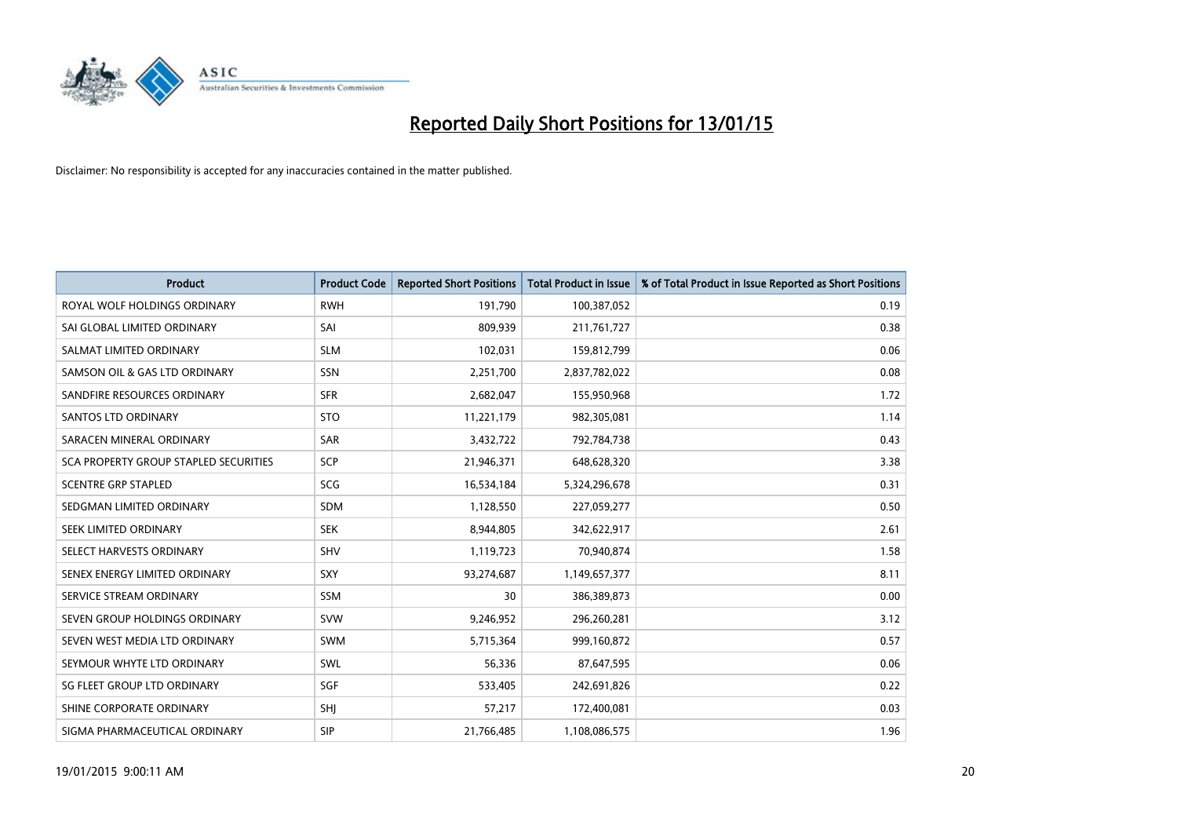

| <b>Product</b>                               | <b>Product Code</b> | <b>Reported Short Positions</b> | <b>Total Product in Issue</b> | % of Total Product in Issue Reported as Short Positions |
|----------------------------------------------|---------------------|---------------------------------|-------------------------------|---------------------------------------------------------|
| ROYAL WOLF HOLDINGS ORDINARY                 | <b>RWH</b>          | 191,790                         | 100,387,052                   | 0.19                                                    |
| SAI GLOBAL LIMITED ORDINARY                  | SAI                 | 809,939                         | 211,761,727                   | 0.38                                                    |
| SALMAT LIMITED ORDINARY                      | <b>SLM</b>          | 102,031                         | 159,812,799                   | 0.06                                                    |
| SAMSON OIL & GAS LTD ORDINARY                | <b>SSN</b>          | 2,251,700                       | 2,837,782,022                 | 0.08                                                    |
| SANDFIRE RESOURCES ORDINARY                  | <b>SFR</b>          | 2,682,047                       | 155,950,968                   | 1.72                                                    |
| SANTOS LTD ORDINARY                          | <b>STO</b>          | 11,221,179                      | 982,305,081                   | 1.14                                                    |
| SARACEN MINERAL ORDINARY                     | <b>SAR</b>          | 3,432,722                       | 792,784,738                   | 0.43                                                    |
| <b>SCA PROPERTY GROUP STAPLED SECURITIES</b> | SCP                 | 21,946,371                      | 648,628,320                   | 3.38                                                    |
| <b>SCENTRE GRP STAPLED</b>                   | <b>SCG</b>          | 16,534,184                      | 5,324,296,678                 | 0.31                                                    |
| SEDGMAN LIMITED ORDINARY                     | <b>SDM</b>          | 1,128,550                       | 227,059,277                   | 0.50                                                    |
| SEEK LIMITED ORDINARY                        | <b>SEK</b>          | 8,944,805                       | 342,622,917                   | 2.61                                                    |
| SELECT HARVESTS ORDINARY                     | SHV                 | 1,119,723                       | 70,940,874                    | 1.58                                                    |
| SENEX ENERGY LIMITED ORDINARY                | SXY                 | 93,274,687                      | 1,149,657,377                 | 8.11                                                    |
| SERVICE STREAM ORDINARY                      | SSM                 | 30                              | 386,389,873                   | 0.00                                                    |
| SEVEN GROUP HOLDINGS ORDINARY                | <b>SVW</b>          | 9,246,952                       | 296,260,281                   | 3.12                                                    |
| SEVEN WEST MEDIA LTD ORDINARY                | SWM                 | 5,715,364                       | 999,160,872                   | 0.57                                                    |
| SEYMOUR WHYTE LTD ORDINARY                   | SWL                 | 56,336                          | 87,647,595                    | 0.06                                                    |
| SG FLEET GROUP LTD ORDINARY                  | SGF                 | 533,405                         | 242,691,826                   | 0.22                                                    |
| SHINE CORPORATE ORDINARY                     | <b>SHI</b>          | 57,217                          | 172,400,081                   | 0.03                                                    |
| SIGMA PHARMACEUTICAL ORDINARY                | <b>SIP</b>          | 21,766,485                      | 1,108,086,575                 | 1.96                                                    |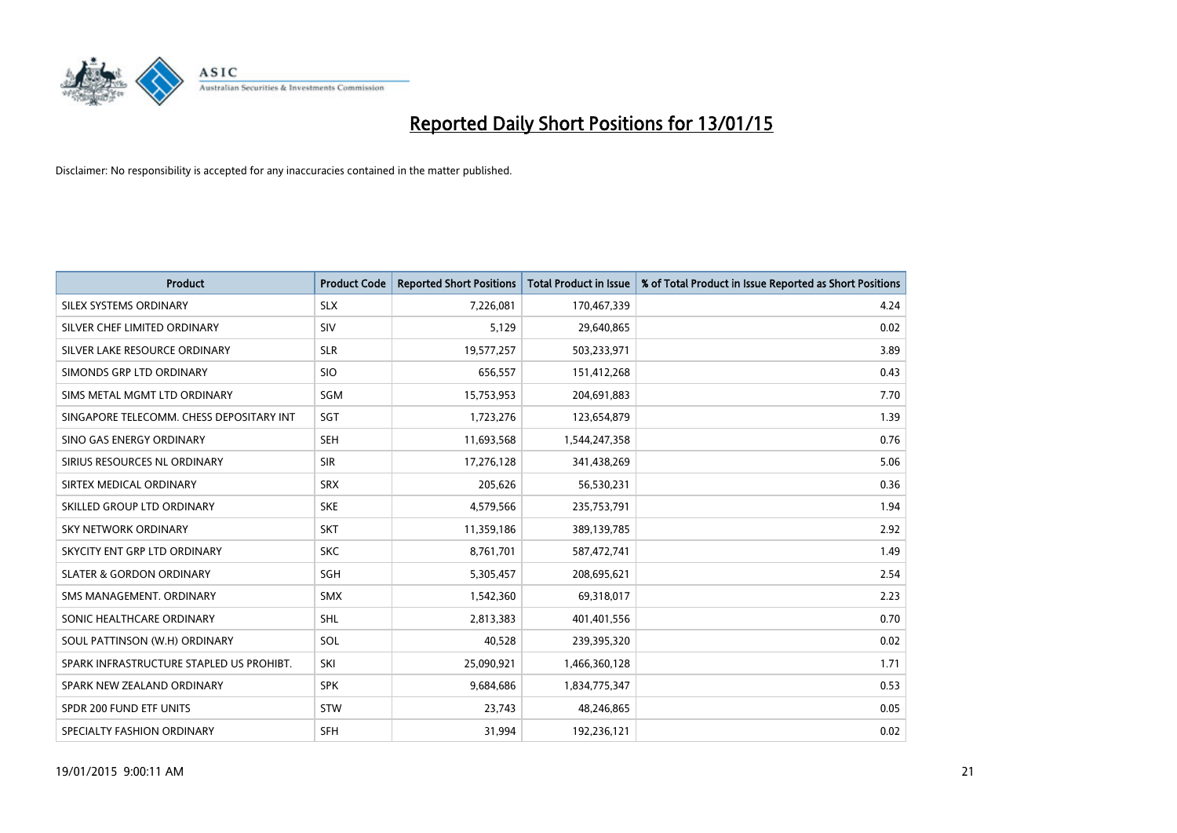

| <b>Product</b>                           | <b>Product Code</b> | <b>Reported Short Positions</b> | <b>Total Product in Issue</b> | % of Total Product in Issue Reported as Short Positions |
|------------------------------------------|---------------------|---------------------------------|-------------------------------|---------------------------------------------------------|
| SILEX SYSTEMS ORDINARY                   | <b>SLX</b>          | 7,226,081                       | 170,467,339                   | 4.24                                                    |
| SILVER CHEF LIMITED ORDINARY             | <b>SIV</b>          | 5,129                           | 29,640,865                    | 0.02                                                    |
| SILVER LAKE RESOURCE ORDINARY            | <b>SLR</b>          | 19,577,257                      | 503,233,971                   | 3.89                                                    |
| SIMONDS GRP LTD ORDINARY                 | <b>SIO</b>          | 656,557                         | 151,412,268                   | 0.43                                                    |
| SIMS METAL MGMT LTD ORDINARY             | SGM                 | 15,753,953                      | 204,691,883                   | 7.70                                                    |
| SINGAPORE TELECOMM. CHESS DEPOSITARY INT | SGT                 | 1,723,276                       | 123,654,879                   | 1.39                                                    |
| SINO GAS ENERGY ORDINARY                 | <b>SEH</b>          | 11,693,568                      | 1,544,247,358                 | 0.76                                                    |
| SIRIUS RESOURCES NL ORDINARY             | <b>SIR</b>          | 17,276,128                      | 341,438,269                   | 5.06                                                    |
| SIRTEX MEDICAL ORDINARY                  | <b>SRX</b>          | 205,626                         | 56,530,231                    | 0.36                                                    |
| SKILLED GROUP LTD ORDINARY               | <b>SKE</b>          | 4,579,566                       | 235,753,791                   | 1.94                                                    |
| SKY NETWORK ORDINARY                     | <b>SKT</b>          | 11,359,186                      | 389,139,785                   | 2.92                                                    |
| SKYCITY ENT GRP LTD ORDINARY             | <b>SKC</b>          | 8,761,701                       | 587,472,741                   | 1.49                                                    |
| <b>SLATER &amp; GORDON ORDINARY</b>      | SGH                 | 5,305,457                       | 208,695,621                   | 2.54                                                    |
| SMS MANAGEMENT, ORDINARY                 | <b>SMX</b>          | 1,542,360                       | 69,318,017                    | 2.23                                                    |
| SONIC HEALTHCARE ORDINARY                | <b>SHL</b>          | 2,813,383                       | 401,401,556                   | 0.70                                                    |
| SOUL PATTINSON (W.H) ORDINARY            | SOL                 | 40,528                          | 239,395,320                   | 0.02                                                    |
| SPARK INFRASTRUCTURE STAPLED US PROHIBT. | SKI                 | 25,090,921                      | 1,466,360,128                 | 1.71                                                    |
| SPARK NEW ZEALAND ORDINARY               | <b>SPK</b>          | 9,684,686                       | 1,834,775,347                 | 0.53                                                    |
| SPDR 200 FUND ETF UNITS                  | <b>STW</b>          | 23,743                          | 48,246,865                    | 0.05                                                    |
| SPECIALTY FASHION ORDINARY               | <b>SFH</b>          | 31,994                          | 192,236,121                   | 0.02                                                    |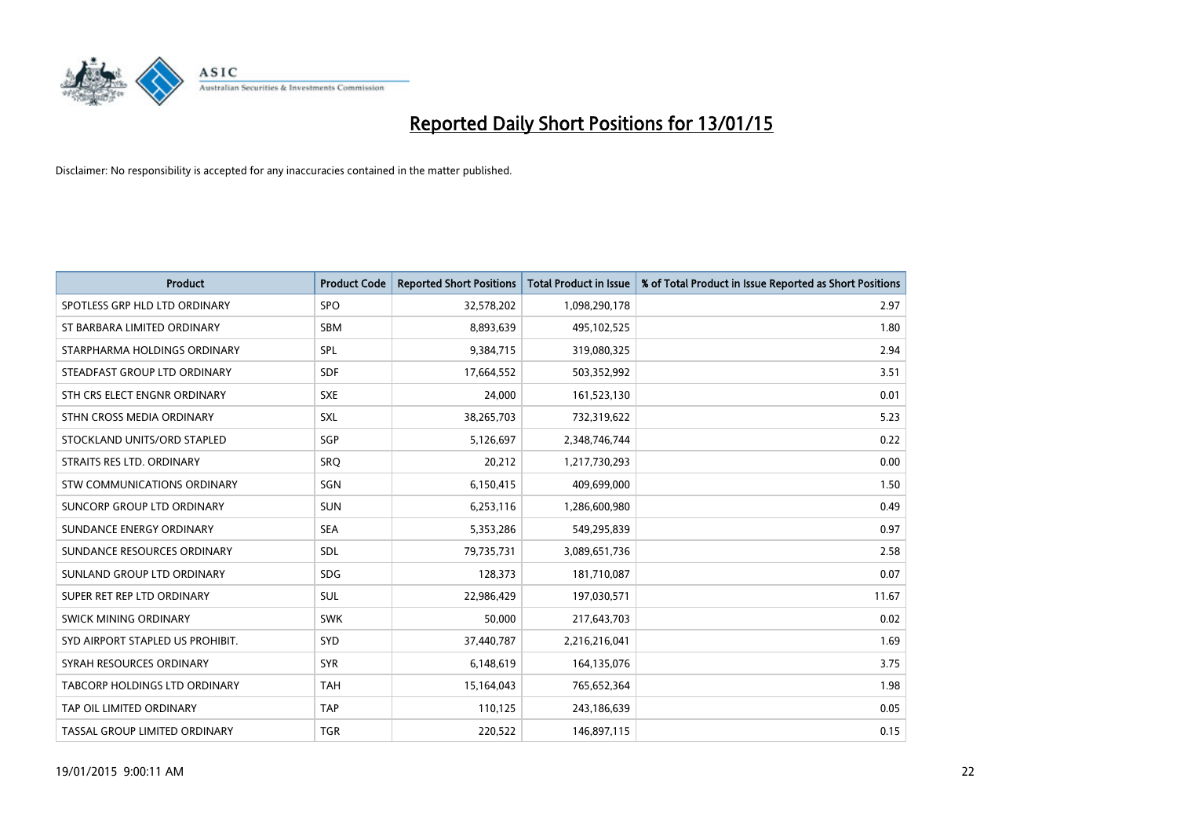

| <b>Product</b>                   | <b>Product Code</b> | <b>Reported Short Positions</b> | <b>Total Product in Issue</b> | % of Total Product in Issue Reported as Short Positions |
|----------------------------------|---------------------|---------------------------------|-------------------------------|---------------------------------------------------------|
| SPOTLESS GRP HLD LTD ORDINARY    | <b>SPO</b>          | 32,578,202                      | 1,098,290,178                 | 2.97                                                    |
| ST BARBARA LIMITED ORDINARY      | <b>SBM</b>          | 8,893,639                       | 495,102,525                   | 1.80                                                    |
| STARPHARMA HOLDINGS ORDINARY     | SPL                 | 9,384,715                       | 319,080,325                   | 2.94                                                    |
| STEADFAST GROUP LTD ORDINARY     | <b>SDF</b>          | 17,664,552                      | 503,352,992                   | 3.51                                                    |
| STH CRS ELECT ENGNR ORDINARY     | <b>SXE</b>          | 24,000                          | 161,523,130                   | 0.01                                                    |
| STHN CROSS MEDIA ORDINARY        | <b>SXL</b>          | 38,265,703                      | 732,319,622                   | 5.23                                                    |
| STOCKLAND UNITS/ORD STAPLED      | <b>SGP</b>          | 5,126,697                       | 2,348,746,744                 | 0.22                                                    |
| STRAITS RES LTD. ORDINARY        | <b>SRQ</b>          | 20,212                          | 1,217,730,293                 | 0.00                                                    |
| STW COMMUNICATIONS ORDINARY      | SGN                 | 6,150,415                       | 409,699,000                   | 1.50                                                    |
| SUNCORP GROUP LTD ORDINARY       | <b>SUN</b>          | 6,253,116                       | 1,286,600,980                 | 0.49                                                    |
| SUNDANCE ENERGY ORDINARY         | <b>SEA</b>          | 5,353,286                       | 549,295,839                   | 0.97                                                    |
| SUNDANCE RESOURCES ORDINARY      | <b>SDL</b>          | 79,735,731                      | 3,089,651,736                 | 2.58                                                    |
| SUNLAND GROUP LTD ORDINARY       | <b>SDG</b>          | 128,373                         | 181,710,087                   | 0.07                                                    |
| SUPER RET REP LTD ORDINARY       | SUL                 | 22,986,429                      | 197,030,571                   | 11.67                                                   |
| SWICK MINING ORDINARY            | <b>SWK</b>          | 50,000                          | 217,643,703                   | 0.02                                                    |
| SYD AIRPORT STAPLED US PROHIBIT. | <b>SYD</b>          | 37,440,787                      | 2,216,216,041                 | 1.69                                                    |
| SYRAH RESOURCES ORDINARY         | <b>SYR</b>          | 6,148,619                       | 164,135,076                   | 3.75                                                    |
| TABCORP HOLDINGS LTD ORDINARY    | <b>TAH</b>          | 15,164,043                      | 765,652,364                   | 1.98                                                    |
| TAP OIL LIMITED ORDINARY         | <b>TAP</b>          | 110,125                         | 243,186,639                   | 0.05                                                    |
| TASSAL GROUP LIMITED ORDINARY    | <b>TGR</b>          | 220,522                         | 146,897,115                   | 0.15                                                    |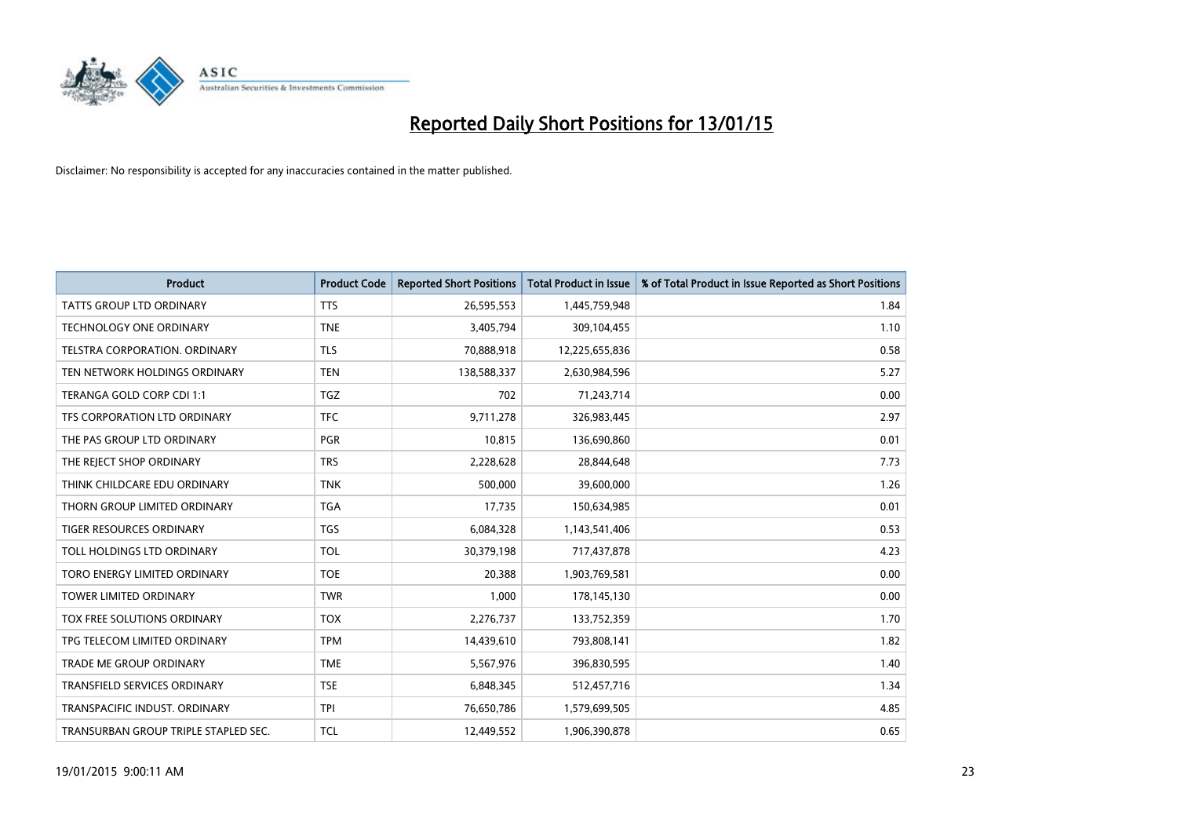

| <b>Product</b>                       | <b>Product Code</b> | <b>Reported Short Positions</b> | <b>Total Product in Issue</b> | % of Total Product in Issue Reported as Short Positions |
|--------------------------------------|---------------------|---------------------------------|-------------------------------|---------------------------------------------------------|
| <b>TATTS GROUP LTD ORDINARY</b>      | <b>TTS</b>          | 26,595,553                      | 1,445,759,948                 | 1.84                                                    |
| <b>TECHNOLOGY ONE ORDINARY</b>       | <b>TNE</b>          | 3,405,794                       | 309,104,455                   | 1.10                                                    |
| TELSTRA CORPORATION, ORDINARY        | <b>TLS</b>          | 70,888,918                      | 12,225,655,836                | 0.58                                                    |
| TEN NETWORK HOLDINGS ORDINARY        | <b>TEN</b>          | 138,588,337                     | 2,630,984,596                 | 5.27                                                    |
| TERANGA GOLD CORP CDI 1:1            | <b>TGZ</b>          | 702                             | 71,243,714                    | 0.00                                                    |
| TFS CORPORATION LTD ORDINARY         | <b>TFC</b>          | 9,711,278                       | 326,983,445                   | 2.97                                                    |
| THE PAS GROUP LTD ORDINARY           | <b>PGR</b>          | 10.815                          | 136,690,860                   | 0.01                                                    |
| THE REJECT SHOP ORDINARY             | <b>TRS</b>          | 2,228,628                       | 28,844,648                    | 7.73                                                    |
| THINK CHILDCARE EDU ORDINARY         | <b>TNK</b>          | 500,000                         | 39,600,000                    | 1.26                                                    |
| THORN GROUP LIMITED ORDINARY         | <b>TGA</b>          | 17,735                          | 150,634,985                   | 0.01                                                    |
| <b>TIGER RESOURCES ORDINARY</b>      | <b>TGS</b>          | 6,084,328                       | 1,143,541,406                 | 0.53                                                    |
| TOLL HOLDINGS LTD ORDINARY           | <b>TOL</b>          | 30,379,198                      | 717,437,878                   | 4.23                                                    |
| TORO ENERGY LIMITED ORDINARY         | <b>TOE</b>          | 20,388                          | 1,903,769,581                 | 0.00                                                    |
| <b>TOWER LIMITED ORDINARY</b>        | <b>TWR</b>          | 1,000                           | 178,145,130                   | 0.00                                                    |
| TOX FREE SOLUTIONS ORDINARY          | <b>TOX</b>          | 2,276,737                       | 133,752,359                   | 1.70                                                    |
| TPG TELECOM LIMITED ORDINARY         | <b>TPM</b>          | 14,439,610                      | 793,808,141                   | 1.82                                                    |
| <b>TRADE ME GROUP ORDINARY</b>       | <b>TME</b>          | 5,567,976                       | 396,830,595                   | 1.40                                                    |
| TRANSFIELD SERVICES ORDINARY         | <b>TSE</b>          | 6,848,345                       | 512,457,716                   | 1.34                                                    |
| TRANSPACIFIC INDUST, ORDINARY        | <b>TPI</b>          | 76,650,786                      | 1,579,699,505                 | 4.85                                                    |
| TRANSURBAN GROUP TRIPLE STAPLED SEC. | TCL                 | 12.449.552                      | 1,906,390,878                 | 0.65                                                    |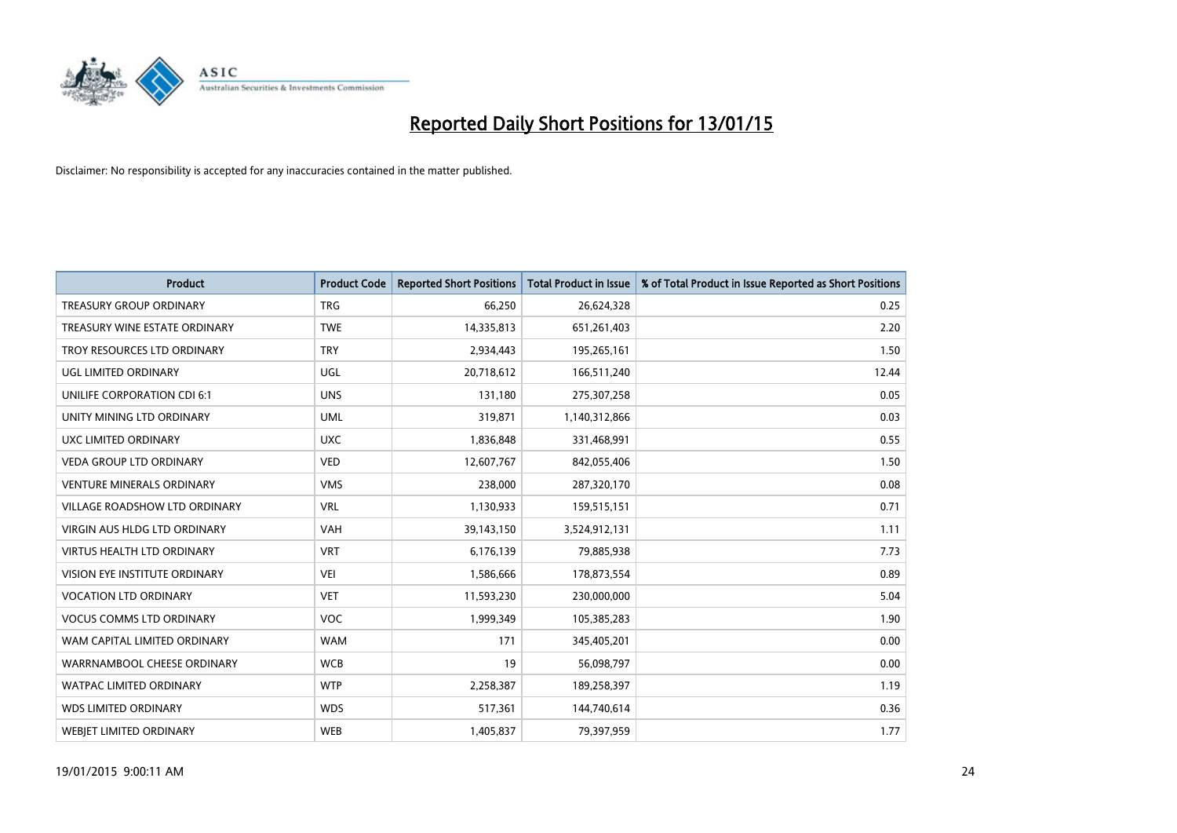

| <b>Product</b>                       | <b>Product Code</b> | <b>Reported Short Positions</b> | <b>Total Product in Issue</b> | % of Total Product in Issue Reported as Short Positions |
|--------------------------------------|---------------------|---------------------------------|-------------------------------|---------------------------------------------------------|
| <b>TREASURY GROUP ORDINARY</b>       | <b>TRG</b>          | 66,250                          | 26,624,328                    | 0.25                                                    |
| TREASURY WINE ESTATE ORDINARY        | <b>TWE</b>          | 14,335,813                      | 651,261,403                   | 2.20                                                    |
| TROY RESOURCES LTD ORDINARY          | <b>TRY</b>          | 2,934,443                       | 195,265,161                   | 1.50                                                    |
| <b>UGL LIMITED ORDINARY</b>          | UGL                 | 20,718,612                      | 166,511,240                   | 12.44                                                   |
| UNILIFE CORPORATION CDI 6:1          | <b>UNS</b>          | 131,180                         | 275,307,258                   | 0.05                                                    |
| UNITY MINING LTD ORDINARY            | <b>UML</b>          | 319,871                         | 1,140,312,866                 | 0.03                                                    |
| UXC LIMITED ORDINARY                 | <b>UXC</b>          | 1,836,848                       | 331,468,991                   | 0.55                                                    |
| <b>VEDA GROUP LTD ORDINARY</b>       | <b>VED</b>          | 12,607,767                      | 842,055,406                   | 1.50                                                    |
| <b>VENTURE MINERALS ORDINARY</b>     | <b>VMS</b>          | 238,000                         | 287,320,170                   | 0.08                                                    |
| <b>VILLAGE ROADSHOW LTD ORDINARY</b> | <b>VRL</b>          | 1,130,933                       | 159,515,151                   | 0.71                                                    |
| <b>VIRGIN AUS HLDG LTD ORDINARY</b>  | <b>VAH</b>          | 39,143,150                      | 3,524,912,131                 | 1.11                                                    |
| VIRTUS HEALTH LTD ORDINARY           | <b>VRT</b>          | 6,176,139                       | 79,885,938                    | 7.73                                                    |
| <b>VISION EYE INSTITUTE ORDINARY</b> | <b>VEI</b>          | 1,586,666                       | 178,873,554                   | 0.89                                                    |
| <b>VOCATION LTD ORDINARY</b>         | <b>VET</b>          | 11,593,230                      | 230,000,000                   | 5.04                                                    |
| <b>VOCUS COMMS LTD ORDINARY</b>      | <b>VOC</b>          | 1,999,349                       | 105,385,283                   | 1.90                                                    |
| WAM CAPITAL LIMITED ORDINARY         | <b>WAM</b>          | 171                             | 345,405,201                   | 0.00                                                    |
| WARRNAMBOOL CHEESE ORDINARY          | <b>WCB</b>          | 19                              | 56,098,797                    | 0.00                                                    |
| WATPAC LIMITED ORDINARY              | <b>WTP</b>          | 2,258,387                       | 189,258,397                   | 1.19                                                    |
| <b>WDS LIMITED ORDINARY</b>          | <b>WDS</b>          | 517,361                         | 144,740,614                   | 0.36                                                    |
| WEBJET LIMITED ORDINARY              | <b>WEB</b>          | 1,405,837                       | 79,397,959                    | 1.77                                                    |